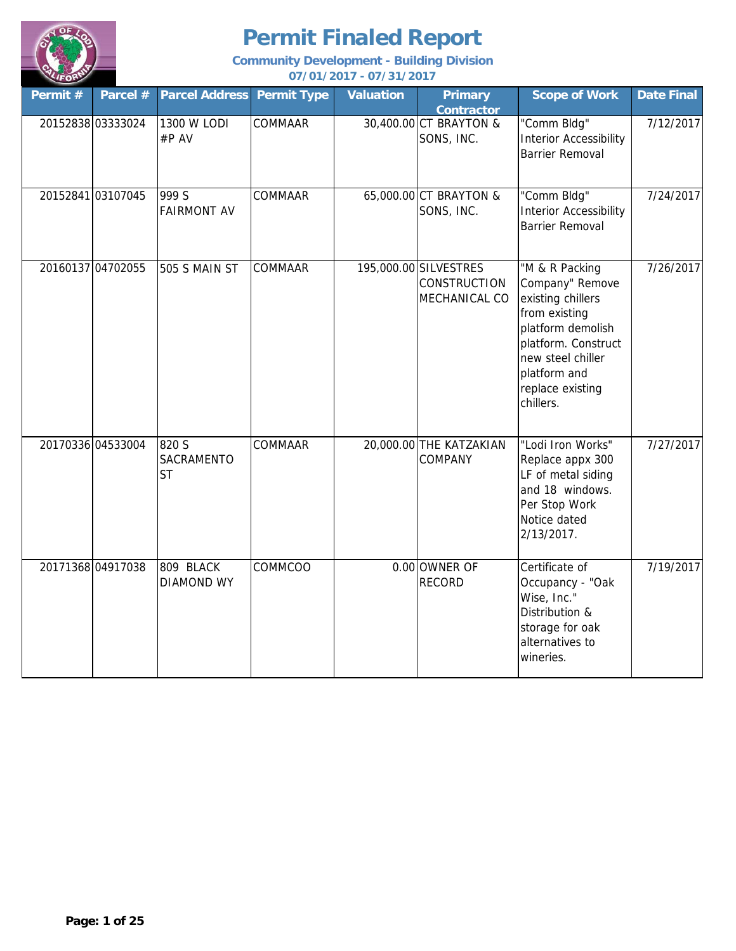

| Permit #          | Parcel #          | <b>Parcel Address</b>            | <b>Permit Type</b> | <b>Valuation</b> | <b>Primary</b><br><b>Contractor</b>                           | <b>Scope of Work</b>                                                                                                                                                                      | <b>Date Final</b> |
|-------------------|-------------------|----------------------------------|--------------------|------------------|---------------------------------------------------------------|-------------------------------------------------------------------------------------------------------------------------------------------------------------------------------------------|-------------------|
| 20152838 03333024 |                   | 1300 W LODI<br>#P AV             | COMMAAR            |                  | 30,400.00 CT BRAYTON &<br>SONS, INC.                          | "Comm Bldg"<br><b>Interior Accessibility</b><br><b>Barrier Removal</b>                                                                                                                    | 7/12/2017         |
|                   | 20152841 03107045 | 999 S<br><b>FAIRMONT AV</b>      | COMMAAR            |                  | 65,000.00 CT BRAYTON &<br>SONS, INC.                          | "Comm Bldg"<br><b>Interior Accessibility</b><br><b>Barrier Removal</b>                                                                                                                    | 7/24/2017         |
| 20160137 04702055 |                   | 505 S MAIN ST                    | COMMAAR            |                  | 195,000.00 SILVESTRES<br><b>CONSTRUCTION</b><br>MECHANICAL CO | "M & R Packing<br>Company" Remove<br>existing chillers<br>from existing<br>platform demolish<br>platform. Construct<br>new steel chiller<br>platform and<br>replace existing<br>chillers. | 7/26/2017         |
| 20170336 04533004 |                   | 820 S<br>SACRAMENTO<br><b>ST</b> | COMMAAR            |                  | 20,000.00 THE KATZAKIAN<br>COMPANY                            | "Lodi Iron Works"<br>Replace appx 300<br>LF of metal siding<br>and 18 windows.<br>Per Stop Work<br>Notice dated<br>2/13/2017.                                                             | 7/27/2017         |
|                   | 20171368 04917038 | 809 BLACK<br><b>DIAMOND WY</b>   | COMMCOO            |                  | 0.00 OWNER OF<br><b>RECORD</b>                                | Certificate of<br>Occupancy - "Oak<br>Wise, Inc."<br>Distribution &<br>storage for oak<br>alternatives to<br>wineries.                                                                    | 7/19/2017         |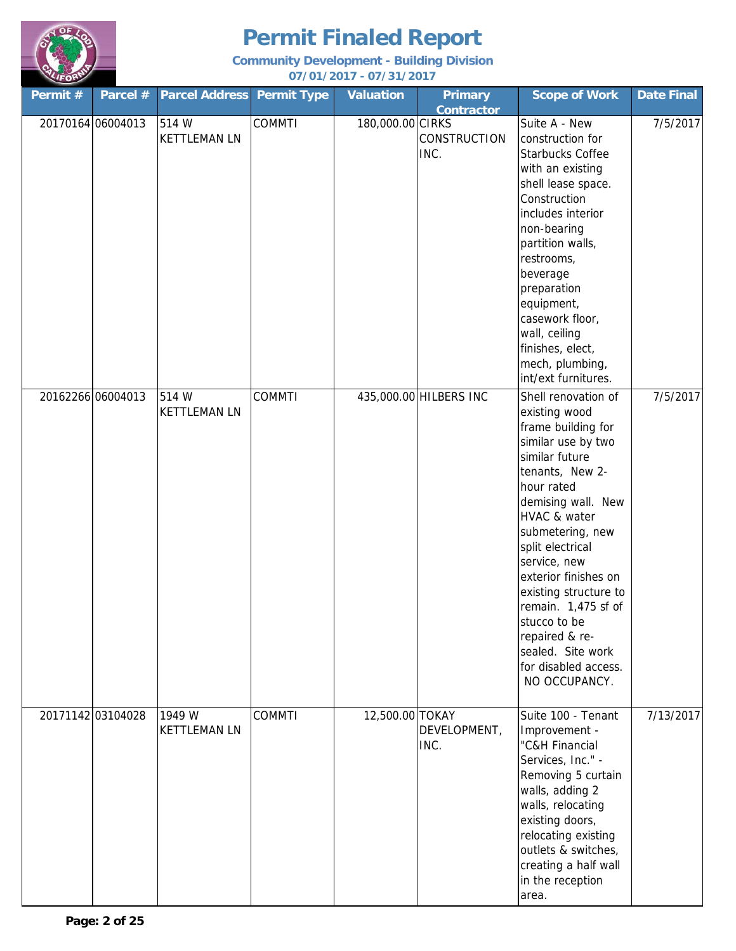

| Permit # | Parcel #          | <b>Parcel Address</b>         | <b>Permit Type</b> | <b>Valuation</b> | <b>Primary</b><br><b>Contractor</b> | <b>Scope of Work</b>                                                                                                                                                                                                                                                                                                                                                                                      | <b>Date Final</b> |
|----------|-------------------|-------------------------------|--------------------|------------------|-------------------------------------|-----------------------------------------------------------------------------------------------------------------------------------------------------------------------------------------------------------------------------------------------------------------------------------------------------------------------------------------------------------------------------------------------------------|-------------------|
|          | 20170164 06004013 | 514 W<br><b>KETTLEMAN LN</b>  | <b>COMMTI</b>      | 180,000.00 CIRKS | <b>CONSTRUCTION</b><br>INC.         | Suite A - New<br>construction for<br><b>Starbucks Coffee</b><br>with an existing<br>shell lease space.<br>Construction<br>includes interior<br>non-bearing<br>partition walls,<br>restrooms,<br>beverage<br>preparation<br>equipment,<br>casework floor,<br>wall, ceiling<br>finishes, elect,<br>mech, plumbing,<br>int/ext furnitures.                                                                   | 7/5/2017          |
|          | 20162266 06004013 | 514 W<br><b>KETTLEMAN LN</b>  | <b>COMMTI</b>      |                  | 435,000.00 HILBERS INC              | Shell renovation of<br>existing wood<br>frame building for<br>similar use by two<br>similar future<br>tenants, New 2-<br>hour rated<br>demising wall. New<br>HVAC & water<br>submetering, new<br>split electrical<br>service, new<br>exterior finishes on<br>existing structure to<br>remain. 1,475 sf of<br>stucco to be<br>repaired & re-<br>sealed. Site work<br>for disabled access.<br>NO OCCUPANCY. | 7/5/2017          |
|          | 20171142 03104028 | 1949 W<br><b>KETTLEMAN LN</b> | <b>COMMTI</b>      | 12,500.00 TOKAY  | DEVELOPMENT,<br>INC.                | Suite 100 - Tenant<br>Improvement -<br>"C&H Financial<br>Services, Inc." -<br>Removing 5 curtain<br>walls, adding 2<br>walls, relocating<br>existing doors,<br>relocating existing<br>outlets & switches,<br>creating a half wall<br>in the reception<br>area.                                                                                                                                            | 7/13/2017         |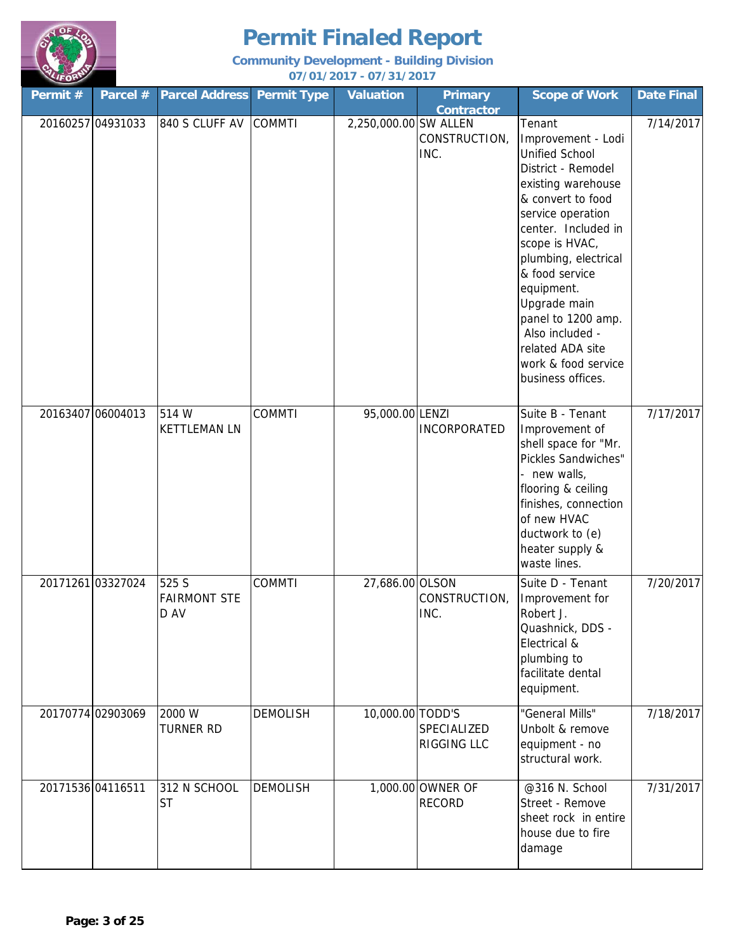

| Permit #          | Parcel #          | <b>Parcel Address Permit Type</b>    |                 | <b>Valuation</b>      | <b>Primary</b>                             | <b>Scope of Work</b>                                                                                                                                                                                                                                                                                                                                                  | <b>Date Final</b> |
|-------------------|-------------------|--------------------------------------|-----------------|-----------------------|--------------------------------------------|-----------------------------------------------------------------------------------------------------------------------------------------------------------------------------------------------------------------------------------------------------------------------------------------------------------------------------------------------------------------------|-------------------|
|                   | 20160257 04931033 | 840 S CLUFF AV                       | <b>COMMTI</b>   | 2,250,000.00 SW ALLEN | <b>Contractor</b><br>CONSTRUCTION,<br>INC. | Tenant<br>Improvement - Lodi<br><b>Unified School</b><br>District - Remodel<br>existing warehouse<br>& convert to food<br>service operation<br>center. Included in<br>scope is HVAC,<br>plumbing, electrical<br>& food service<br>equipment.<br>Upgrade main<br>panel to 1200 amp.<br>Also included -<br>related ADA site<br>work & food service<br>business offices. | 7/14/2017         |
| 20163407 06004013 |                   | 514 W<br><b>KETTLEMAN LN</b>         | <b>COMMTI</b>   | 95,000.00 LENZI       | <b>INCORPORATED</b>                        | Suite B - Tenant<br>Improvement of<br>shell space for "Mr.<br>Pickles Sandwiches"<br>- new walls,<br>flooring & ceiling<br>finishes, connection<br>of new HVAC<br>ductwork to (e)<br>heater supply &<br>waste lines.                                                                                                                                                  | 7/17/2017         |
|                   | 20171261 03327024 | 525 S<br><b>FAIRMONT STE</b><br>D AV | <b>COMMTI</b>   | 27,686.00 OLSON       | CONSTRUCTION,<br>INC.                      | Suite D - Tenant<br>Improvement for<br>Robert J.<br>Quashnick, DDS -<br>Electrical &<br>plumbing to<br>facilitate dental<br>equipment.                                                                                                                                                                                                                                | 7/20/2017         |
|                   | 20170774 02903069 | 2000 W<br><b>TURNER RD</b>           | <b>DEMOLISH</b> | 10,000.00 TODD'S      | SPECIALIZED<br>RIGGING LLC                 | "General Mills"<br>Unbolt & remove<br>equipment - no<br>structural work.                                                                                                                                                                                                                                                                                              | 7/18/2017         |
| 20171536 04116511 |                   | 312 N SCHOOL<br><b>ST</b>            | <b>DEMOLISH</b> |                       | 1,000.00 OWNER OF<br><b>RECORD</b>         | @316 N. School<br>Street - Remove<br>sheet rock in entire<br>house due to fire<br>damage                                                                                                                                                                                                                                                                              | 7/31/2017         |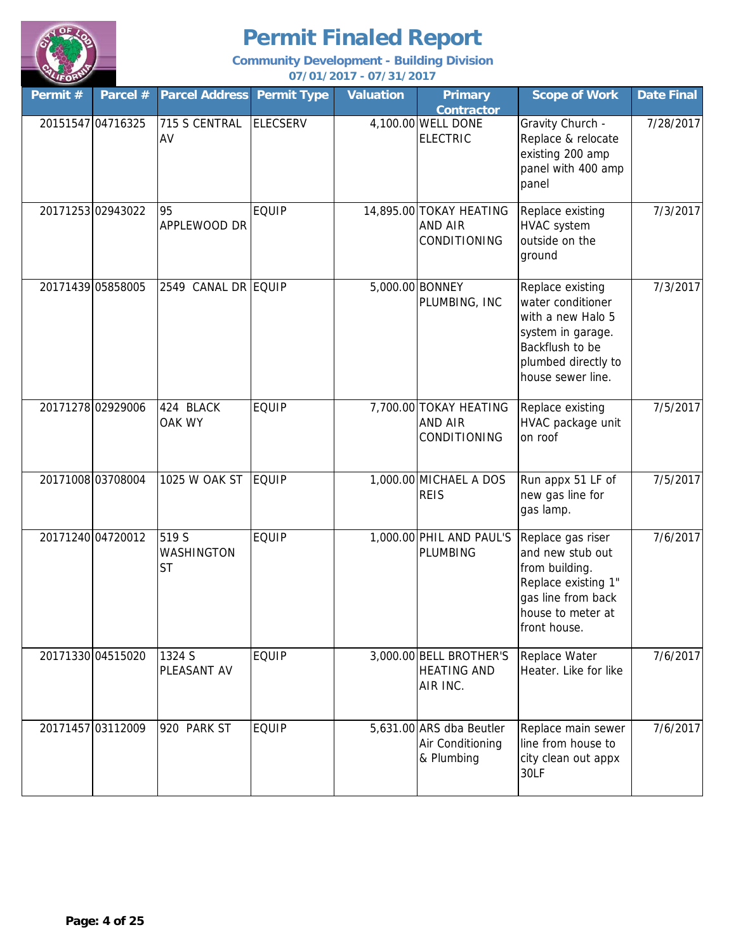

| Permit # | Parcel #          | <b>Parcel Address</b>      | <b>Permit Type</b> | <b>Valuation</b> | <b>Primary</b><br><b>Contractor</b>                        | <b>Scope of Work</b>                                                                                                                           | <b>Date Final</b> |
|----------|-------------------|----------------------------|--------------------|------------------|------------------------------------------------------------|------------------------------------------------------------------------------------------------------------------------------------------------|-------------------|
|          | 20151547 04716325 | 715 S CENTRAL<br>AV        | <b>ELECSERV</b>    |                  | 4,100.00 WELL DONE<br><b>ELECTRIC</b>                      | Gravity Church -<br>Replace & relocate<br>existing 200 amp<br>panel with 400 amp<br>panel                                                      | 7/28/2017         |
|          | 20171253 02943022 | 95<br>APPLEWOOD DR         | <b>EQUIP</b>       |                  | 14,895.00 TOKAY HEATING<br><b>AND AIR</b><br>CONDITIONING  | Replace existing<br><b>HVAC</b> system<br>outside on the<br>ground                                                                             | 7/3/2017          |
|          | 20171439 05858005 | 2549 CANAL DR EQUIP        |                    |                  | 5,000.00 BONNEY<br>PLUMBING, INC                           | Replace existing<br>water conditioner<br>with a new Halo 5<br>system in garage.<br>Backflush to be<br>plumbed directly to<br>house sewer line. | 7/3/2017          |
|          | 20171278 02929006 | 424 BLACK<br><b>OAK WY</b> | <b>EQUIP</b>       |                  | 7,700.00 TOKAY HEATING<br><b>AND AIR</b><br>CONDITIONING   | Replace existing<br>HVAC package unit<br>on roof                                                                                               | 7/5/2017          |
|          | 20171008 03708004 | 1025 W OAK ST              | <b>EQUIP</b>       |                  | 1,000.00 MICHAEL A DOS<br><b>REIS</b>                      | Run appx 51 LF of<br>new gas line for<br>gas lamp.                                                                                             | 7/5/2017          |
|          | 20171240 04720012 | 519 S<br>WASHINGTON<br>ST  | <b>EQUIP</b>       |                  | 1,000.00 PHIL AND PAUL'S<br>PLUMBING                       | Replace gas riser<br>and new stub out<br>from building.<br>Replace existing 1"<br>gas line from back<br>house to meter at<br>front house.      | 7/6/2017          |
|          | 20171330 04515020 | 1324 S<br>PLEASANT AV      | <b>EQUIP</b>       |                  | 3,000.00 BELL BROTHER'S<br><b>HEATING AND</b><br>AIR INC.  | Replace Water<br>Heater. Like for like                                                                                                         | 7/6/2017          |
|          | 20171457 03112009 | 920 PARK ST                | <b>EQUIP</b>       |                  | 5,631.00 ARS dba Beutler<br>Air Conditioning<br>& Plumbing | Replace main sewer<br>line from house to<br>city clean out appx<br>30LF                                                                        | 7/6/2017          |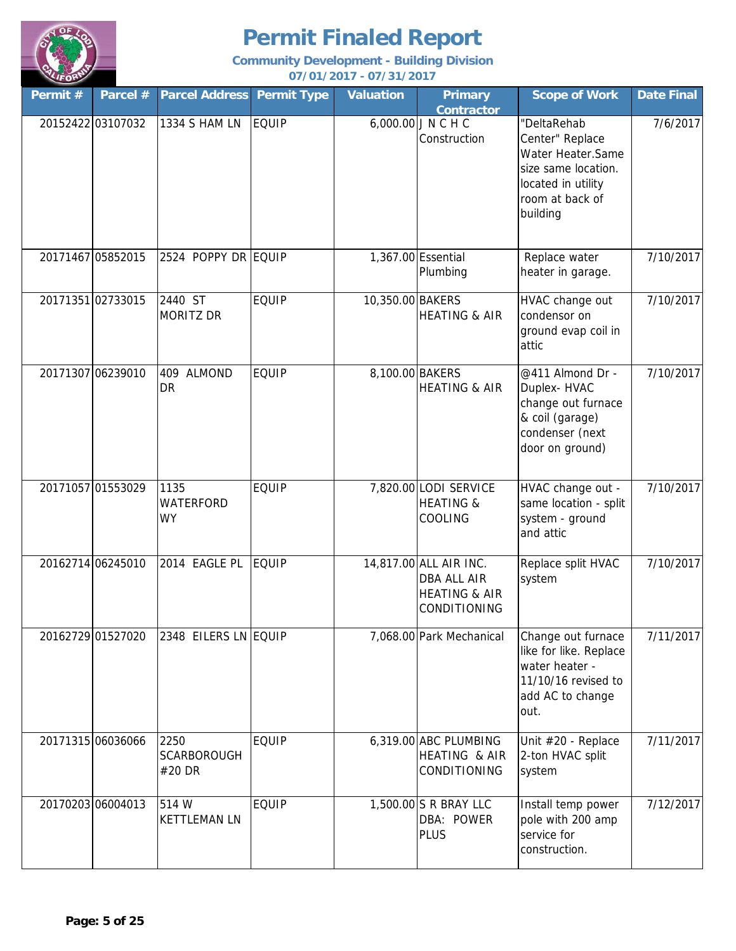

| Permit # | Parcel #          | <b>Parcel Address</b>                 | <b>Permit Type</b> | <b>Valuation</b> | <b>Primary</b><br><b>Contractor</b>                                                      | <b>Scope of Work</b>                                                                                                            | <b>Date Final</b> |
|----------|-------------------|---------------------------------------|--------------------|------------------|------------------------------------------------------------------------------------------|---------------------------------------------------------------------------------------------------------------------------------|-------------------|
|          | 20152422 03107032 | 1334 S HAM LN                         | <b>EQUIP</b>       |                  | 6,000.00 J N C H C<br>Construction                                                       | "DeltaRehab<br>Center" Replace<br>Water Heater.Same<br>size same location.<br>located in utility<br>room at back of<br>building | 7/6/2017          |
|          | 20171467 05852015 | 2524 POPPY DR EQUIP                   |                    |                  | 1,367.00 Essential<br>Plumbing                                                           | Replace water<br>heater in garage.                                                                                              | 7/10/2017         |
|          | 20171351 02733015 | 2440 ST<br><b>MORITZ DR</b>           | <b>EQUIP</b>       | 10,350.00 BAKERS | <b>HEATING &amp; AIR</b>                                                                 | HVAC change out<br>condensor on<br>ground evap coil in<br>attic                                                                 | 7/10/2017         |
|          | 20171307 06239010 | 409<br><b>ALMOND</b><br><b>DR</b>     | <b>EQUIP</b>       | 8,100.00 BAKERS  | <b>HEATING &amp; AIR</b>                                                                 | @411 Almond Dr -<br>Duplex-HVAC<br>change out furnace<br>& coil (garage)<br>condenser (next<br>door on ground)                  | 7/10/2017         |
|          | 20171057 01553029 | 1135<br><b>WATERFORD</b><br><b>WY</b> | <b>EQUIP</b>       |                  | 7,820.00 LODI SERVICE<br><b>HEATING &amp;</b><br>COOLING                                 | HVAC change out -<br>same location - split<br>system - ground<br>and attic                                                      | 7/10/2017         |
|          | 20162714 06245010 | 2014 EAGLE PL                         | <b>EQUIP</b>       |                  | 14,817.00 ALL AIR INC.<br><b>DBA ALL AIR</b><br><b>HEATING &amp; AIR</b><br>CONDITIONING | Replace split HVAC<br>system                                                                                                    | 7/10/2017         |
|          | 20162729 01527020 | 2348 EILERS LN EQUIP                  |                    |                  | 7,068.00 Park Mechanical                                                                 | Change out furnace<br>like for like. Replace<br>water heater -<br>11/10/16 revised to<br>add AC to change<br>out.               | 7/11/2017         |
|          | 20171315 06036066 | 2250<br><b>SCARBOROUGH</b><br>#20 DR  | <b>EQUIP</b>       |                  | 6,319.00 ABC PLUMBING<br><b>HEATING &amp; AIR</b><br>CONDITIONING                        | Unit #20 - Replace<br>2-ton HVAC split<br>system                                                                                | 7/11/2017         |
|          | 20170203 06004013 | 514 W<br><b>KETTLEMAN LN</b>          | <b>EQUIP</b>       |                  | 1,500.00 S R BRAY LLC<br>DBA: POWER<br><b>PLUS</b>                                       | Install temp power<br>pole with 200 amp<br>service for<br>construction.                                                         | 7/12/2017         |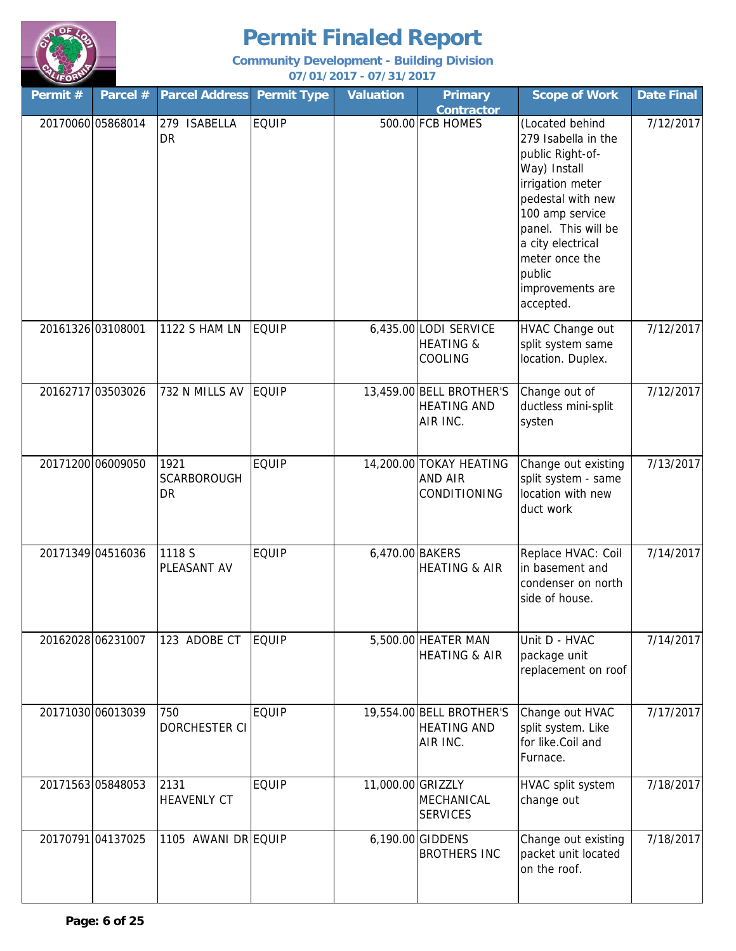

| Permit #          | Parcel #          | <b>Parcel Address</b>                   | <b>Permit Type</b> | Valuation         | <b>Primary</b><br><b>Contractor</b>                        | <b>Scope of Work</b>                                                                                                                                                                                                                            | <b>Date Final</b> |
|-------------------|-------------------|-----------------------------------------|--------------------|-------------------|------------------------------------------------------------|-------------------------------------------------------------------------------------------------------------------------------------------------------------------------------------------------------------------------------------------------|-------------------|
|                   | 20170060 05868014 | 279 ISABELLA<br><b>DR</b>               | <b>EQUIP</b>       |                   | 500.00 FCB HOMES                                           | (Located behind<br>279 Isabella in the<br>public Right-of-<br>Way) Install<br>irrigation meter<br>pedestal with new<br>100 amp service<br>panel. This will be<br>a city electrical<br>meter once the<br>public<br>improvements are<br>accepted. | 7/12/2017         |
| 20161326 03108001 |                   | 1122 S HAM LN                           | <b>EQUIP</b>       |                   | 6,435.00 LODI SERVICE<br><b>HEATING &amp;</b><br>COOLING   | HVAC Change out<br>split system same<br>location. Duplex.                                                                                                                                                                                       | 7/12/2017         |
|                   | 20162717 03503026 | 732 N MILLS AV                          | <b>EQUIP</b>       |                   | 13,459.00 BELL BROTHER'S<br><b>HEATING AND</b><br>AIR INC. | Change out of<br>ductless mini-split<br>systen                                                                                                                                                                                                  | 7/12/2017         |
|                   | 20171200 06009050 | 1921<br><b>SCARBOROUGH</b><br><b>DR</b> | <b>EQUIP</b>       |                   | 14,200.00 TOKAY HEATING<br><b>AND AIR</b><br>CONDITIONING  | Change out existing<br>split system - same<br>location with new<br>duct work                                                                                                                                                                    | 7/13/2017         |
|                   | 20171349 04516036 | 1118 S<br>PLEASANT AV                   | <b>EQUIP</b>       | 6,470.00 BAKERS   | <b>HEATING &amp; AIR</b>                                   | Replace HVAC: Coil<br>in basement and<br>condenser on north<br>side of house.                                                                                                                                                                   | 7/14/2017         |
|                   | 20162028 06231007 | 123 ADOBE CT                            | <b>EQUIP</b>       |                   | 5,500.00 HEATER MAN<br><b>HEATING &amp; AIR</b>            | Unit D - HVAC<br>package unit<br>replacement on roof                                                                                                                                                                                            | 7/14/2017         |
|                   | 20171030 06013039 | 750<br><b>DORCHESTER CI</b>             | <b>EQUIP</b>       |                   | 19,554.00 BELL BROTHER'S<br><b>HEATING AND</b><br>AIR INC. | Change out HVAC<br>split system. Like<br>for like.Coil and<br>Furnace.                                                                                                                                                                          | 7/17/2017         |
|                   | 20171563 05848053 | 2131<br><b>HEAVENLY CT</b>              | <b>EQUIP</b>       | 11,000.00 GRIZZLY | MECHANICAL<br><b>SERVICES</b>                              | HVAC split system<br>change out                                                                                                                                                                                                                 | 7/18/2017         |
|                   | 20170791 04137025 | 1105 AWANI DR EQUIP                     |                    |                   | 6,190.00 GIDDENS<br><b>BROTHERS INC</b>                    | Change out existing<br>packet unit located<br>on the roof.                                                                                                                                                                                      | 7/18/2017         |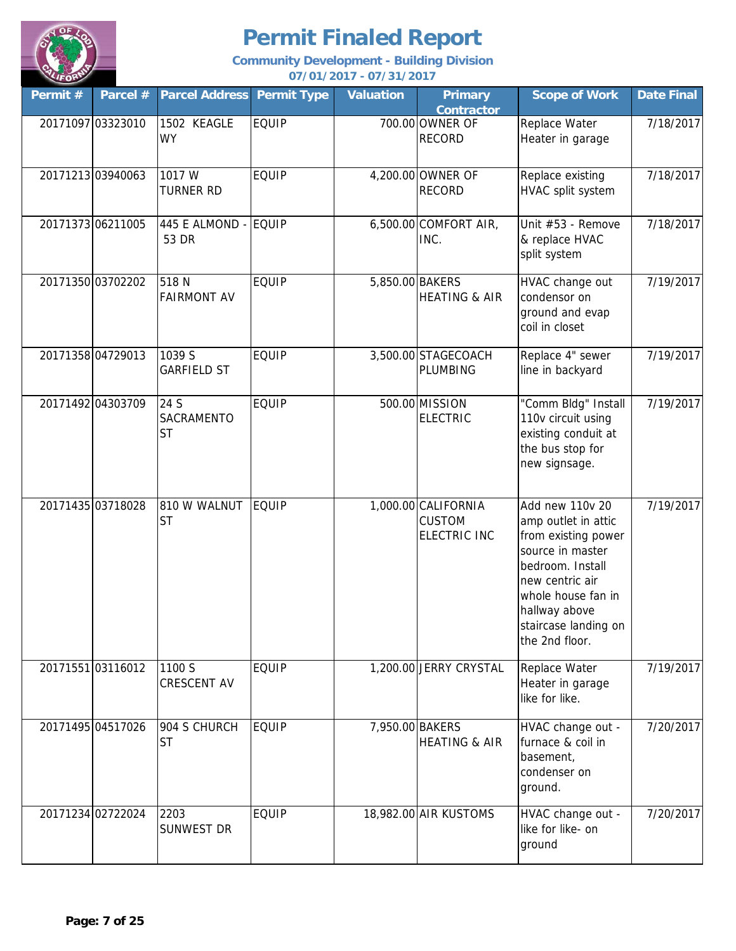

| Permit # | Parcel #          | <b>Parcel Address</b>           | <b>Permit Type</b> | <b>Valuation</b> | <b>Primary</b><br><b>Contractor</b>                         | <b>Scope of Work</b>                                                                                                                                                                                      | <b>Date Final</b> |
|----------|-------------------|---------------------------------|--------------------|------------------|-------------------------------------------------------------|-----------------------------------------------------------------------------------------------------------------------------------------------------------------------------------------------------------|-------------------|
|          | 20171097 03323010 | 1502 KEAGLE<br><b>WY</b>        | <b>EQUIP</b>       |                  | 700.00 OWNER OF<br><b>RECORD</b>                            | Replace Water<br>Heater in garage                                                                                                                                                                         | 7/18/2017         |
|          | 20171213 03940063 | 1017 W<br><b>TURNER RD</b>      | <b>EQUIP</b>       |                  | 4,200.00 OWNER OF<br><b>RECORD</b>                          | Replace existing<br>HVAC split system                                                                                                                                                                     | 7/18/2017         |
|          | 20171373 06211005 | 445 E ALMOND -<br>53 DR         | <b>EQUIP</b>       |                  | 6,500.00 COMFORT AIR,<br>INC.                               | Unit #53 - Remove<br>& replace HVAC<br>split system                                                                                                                                                       | 7/18/2017         |
|          | 20171350 03702202 | 518N<br><b>FAIRMONT AV</b>      | <b>EQUIP</b>       | 5,850.00 BAKERS  | <b>HEATING &amp; AIR</b>                                    | HVAC change out<br>condensor on<br>ground and evap<br>coil in closet                                                                                                                                      | 7/19/2017         |
|          | 20171358 04729013 | 1039 S<br><b>GARFIELD ST</b>    | <b>EQUIP</b>       |                  | 3,500.00 STAGECOACH<br>PLUMBING                             | Replace 4" sewer<br>line in backyard                                                                                                                                                                      | 7/19/2017         |
|          | 20171492 04303709 | 24 S<br>SACRAMENTO<br><b>ST</b> | <b>EQUIP</b>       |                  | 500.00 MISSION<br><b>ELECTRIC</b>                           | "Comm Bldg" Install<br>110v circuit using<br>existing conduit at<br>the bus stop for<br>new signsage.                                                                                                     | 7/19/2017         |
|          | 20171435 03718028 | 810 W WALNUT<br><b>ST</b>       | <b>EQUIP</b>       |                  | 1,000.00 CALIFORNIA<br><b>CUSTOM</b><br><b>ELECTRIC INC</b> | Add new 110v 20<br>amp outlet in attic<br>from existing power<br>source in master<br>bedroom. Install<br>new centric air<br>whole house fan in<br>hallway above<br>staircase landing on<br>the 2nd floor. | 7/19/2017         |
|          | 20171551 03116012 | 1100 S<br><b>CRESCENT AV</b>    | <b>EQUIP</b>       |                  | 1,200.00 JERRY CRYSTAL                                      | Replace Water<br>Heater in garage<br>like for like.                                                                                                                                                       | 7/19/2017         |
|          | 20171495 04517026 | 904 S CHURCH<br><b>ST</b>       | <b>EQUIP</b>       | 7,950.00 BAKERS  | <b>HEATING &amp; AIR</b>                                    | HVAC change out -<br>furnace & coil in<br>basement,<br>condenser on<br>ground.                                                                                                                            | 7/20/2017         |
|          | 20171234 02722024 | 2203<br><b>SUNWEST DR</b>       | <b>EQUIP</b>       |                  | 18,982.00 AIR KUSTOMS                                       | HVAC change out -<br>like for like- on<br>ground                                                                                                                                                          | 7/20/2017         |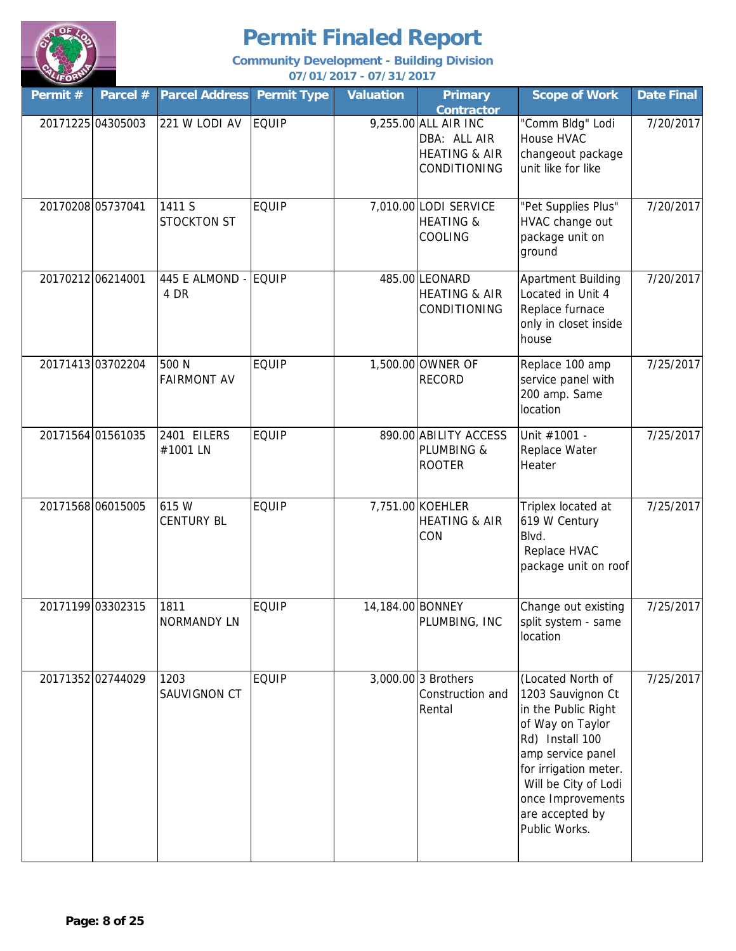

| Permit #          | Parcel #          | <b>Parcel Address</b>        | <b>Permit Type</b> | <b>Valuation</b> | <b>Primary</b><br><b>Contractor</b>                                              | <b>Scope of Work</b>                                                                                                                                                                                                                | <b>Date Final</b> |
|-------------------|-------------------|------------------------------|--------------------|------------------|----------------------------------------------------------------------------------|-------------------------------------------------------------------------------------------------------------------------------------------------------------------------------------------------------------------------------------|-------------------|
|                   | 20171225 04305003 | 221 W LODI AV                | <b>EQUIP</b>       |                  | 9,255.00 ALL AIR INC<br>DBA: ALL AIR<br><b>HEATING &amp; AIR</b><br>CONDITIONING | "Comm Bldg" Lodi<br>House HVAC<br>changeout package<br>unit like for like                                                                                                                                                           | 7/20/2017         |
|                   | 20170208 05737041 | 1411 S<br><b>STOCKTON ST</b> | <b>EQUIP</b>       |                  | 7,010.00 LODI SERVICE<br><b>HEATING &amp;</b><br>COOLING                         | "Pet Supplies Plus"<br>HVAC change out<br>package unit on<br>ground                                                                                                                                                                 | 7/20/2017         |
| 20170212 06214001 |                   | 445 E ALMOND - EQUIP<br>4 DR |                    |                  | 485.00 LEONARD<br><b>HEATING &amp; AIR</b><br>CONDITIONING                       | <b>Apartment Building</b><br>Located in Unit 4<br>Replace furnace<br>only in closet inside<br>house                                                                                                                                 | 7/20/2017         |
|                   | 20171413 03702204 | 500 N<br><b>FAIRMONT AV</b>  | <b>EQUIP</b>       |                  | 1,500.00 OWNER OF<br><b>RECORD</b>                                               | Replace 100 amp<br>service panel with<br>200 amp. Same<br>location                                                                                                                                                                  | 7/25/2017         |
|                   | 20171564 01561035 | 2401 EILERS<br>#1001 LN      | <b>EQUIP</b>       |                  | 890.00 ABILITY ACCESS<br>PLUMBING &<br><b>ROOTER</b>                             | Unit #1001 -<br>Replace Water<br>Heater                                                                                                                                                                                             | 7/25/2017         |
|                   | 20171568 06015005 | 615 W<br><b>CENTURY BL</b>   | <b>EQUIP</b>       |                  | 7,751.00 KOEHLER<br><b>HEATING &amp; AIR</b><br>CON                              | Triplex located at<br>619 W Century<br>Blvd.<br>Replace HVAC<br>package unit on roof                                                                                                                                                | 7/25/2017         |
|                   | 20171199 03302315 | 1811<br><b>NORMANDY LN</b>   | <b>EQUIP</b>       | 14,184.00 BONNEY | PLUMBING, INC                                                                    | Change out existing<br>split system - same<br>location                                                                                                                                                                              | 7/25/2017         |
|                   | 20171352 02744029 | 1203<br>SAUVIGNON CT         | <b>EQUIP</b>       |                  | 3,000.00 3 Brothers<br>Construction and<br>Rental                                | (Located North of<br>1203 Sauvignon Ct<br>in the Public Right<br>of Way on Taylor<br>Rd) Install 100<br>amp service panel<br>for irrigation meter.<br>Will be City of Lodi<br>once Improvements<br>are accepted by<br>Public Works. | 7/25/2017         |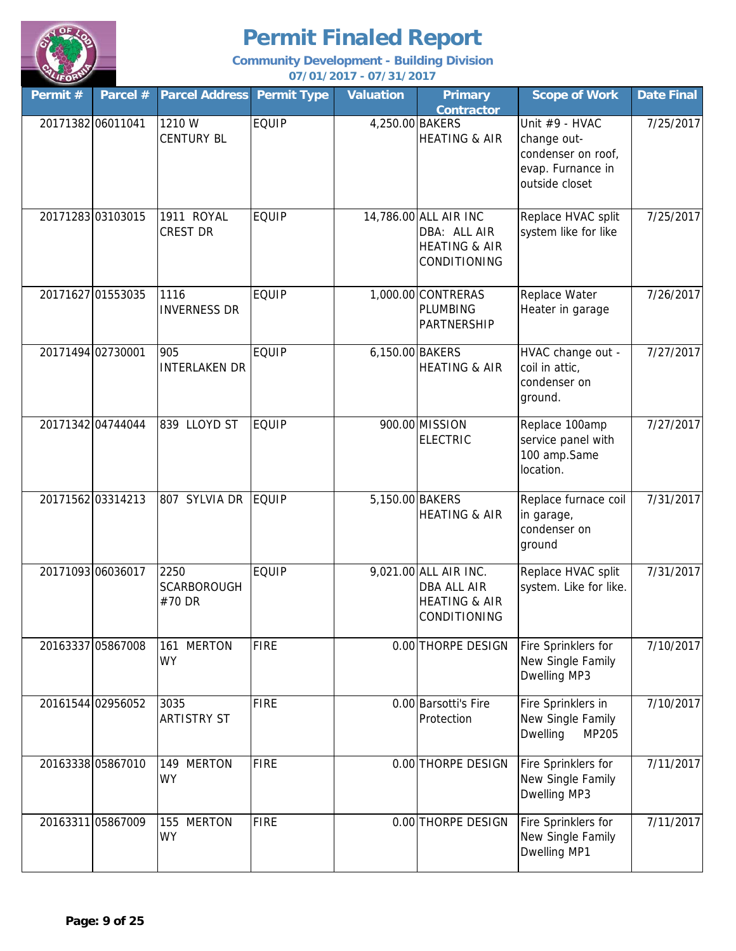

| Permit #          | Parcel #          | <b>Parcel Address</b>                | <b>Permit Type</b> | <b>Valuation</b> | <b>Primary</b><br><b>Contractor</b>                                                     | <b>Scope of Work</b>                                                                       | <b>Date Final</b> |
|-------------------|-------------------|--------------------------------------|--------------------|------------------|-----------------------------------------------------------------------------------------|--------------------------------------------------------------------------------------------|-------------------|
| 20171382 06011041 |                   | 1210 W<br><b>CENTURY BL</b>          | <b>EQUIP</b>       | 4,250.00 BAKERS  | <b>HEATING &amp; AIR</b>                                                                | Unit #9 - HVAC<br>change out-<br>condenser on roof,<br>evap. Furnance in<br>outside closet | 7/25/2017         |
|                   | 2017128303103015  | 1911 ROYAL<br><b>CREST DR</b>        | <b>EQUIP</b>       |                  | 14,786.00 ALL AIR INC<br>DBA: ALL AIR<br><b>HEATING &amp; AIR</b><br>CONDITIONING       | Replace HVAC split<br>system like for like                                                 | 7/25/2017         |
|                   | 20171627 01553035 | 1116<br><b>INVERNESS DR</b>          | <b>EQUIP</b>       |                  | 1,000.00 CONTRERAS<br>PLUMBING<br>PARTNERSHIP                                           | Replace Water<br>Heater in garage                                                          | 7/26/2017         |
| 20171494 02730001 |                   | 905<br><b>INTERLAKEN DR</b>          | <b>EQUIP</b>       | 6,150.00 BAKERS  | <b>HEATING &amp; AIR</b>                                                                | HVAC change out -<br>coil in attic,<br>condenser on<br>ground.                             | 7/27/2017         |
|                   | 20171342 04744044 | 839 LLOYD ST                         | <b>EQUIP</b>       |                  | 900.00 MISSION<br><b>ELECTRIC</b>                                                       | Replace 100amp<br>service panel with<br>100 amp.Same<br>location.                          | 7/27/2017         |
|                   | 20171562 03314213 | 807 SYLVIA DR                        | <b>EQUIP</b>       | 5,150.00 BAKERS  | <b>HEATING &amp; AIR</b>                                                                | Replace furnace coil<br>in garage,<br>condenser on<br>ground                               | 7/31/2017         |
|                   | 20171093 06036017 | 2250<br><b>SCARBOROUGH</b><br>#70 DR | <b>EQUIP</b>       |                  | 9,021.00 ALL AIR INC.<br><b>DBA ALL AIR</b><br><b>HEATING &amp; AIR</b><br>CONDITIONING | Replace HVAC split<br>system. Like for like.                                               | 7/31/2017         |
|                   | 20163337 05867008 | <b>MERTON</b><br>161<br><b>WY</b>    | <b>FIRE</b>        |                  | 0.00 THORPE DESIGN                                                                      | Fire Sprinklers for<br>New Single Family<br>Dwelling MP3                                   | 7/10/2017         |
|                   | 20161544 02956052 | 3035<br><b>ARTISTRY ST</b>           | <b>FIRE</b>        |                  | 0.00 Barsotti's Fire<br>Protection                                                      | Fire Sprinklers in<br>New Single Family<br><b>Dwelling</b><br>MP205                        | 7/10/2017         |
|                   | 20163338 05867010 | 149 MERTON<br><b>WY</b>              | <b>FIRE</b>        |                  | 0.00 THORPE DESIGN                                                                      | Fire Sprinklers for<br>New Single Family<br>Dwelling MP3                                   | 7/11/2017         |
|                   | 20163311 05867009 | 155 MERTON<br><b>WY</b>              | <b>FIRE</b>        |                  | 0.00 THORPE DESIGN                                                                      | Fire Sprinklers for<br>New Single Family<br>Dwelling MP1                                   | 7/11/2017         |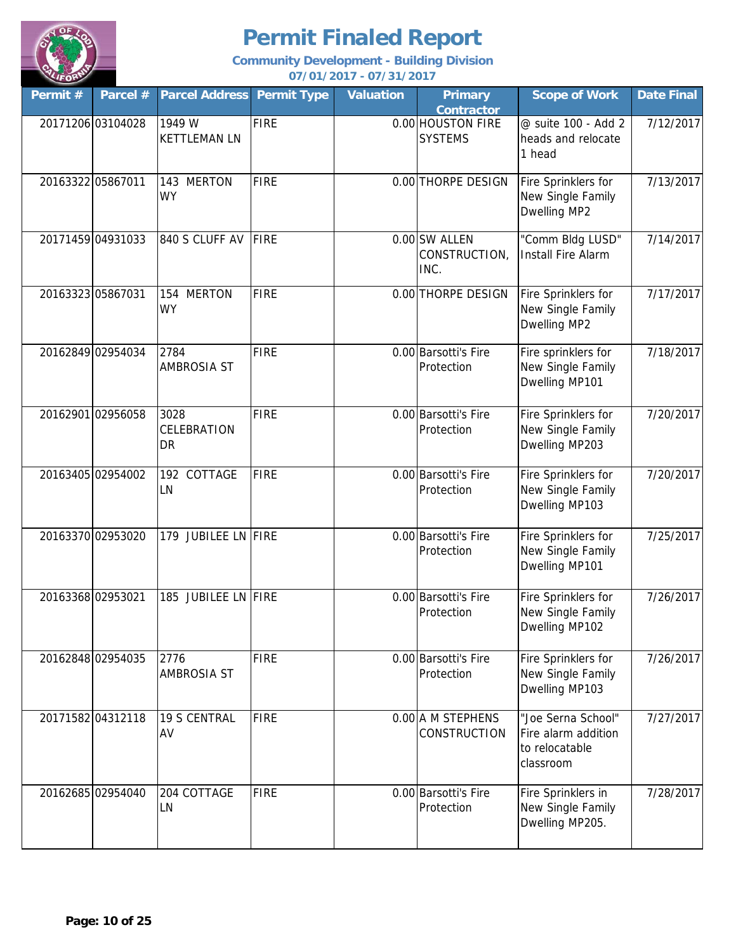

| Permit # | Parcel #          | <b>Parcel Address</b>         | <b>Permit Type</b> | <b>Valuation</b> | <b>Primary</b><br><b>Contractor</b>    | <b>Scope of Work</b>                                                     | <b>Date Final</b> |
|----------|-------------------|-------------------------------|--------------------|------------------|----------------------------------------|--------------------------------------------------------------------------|-------------------|
|          | 20171206 03104028 | 1949 W<br><b>KETTLEMAN LN</b> | <b>FIRE</b>        |                  | 0.00 HOUSTON FIRE<br><b>SYSTEMS</b>    | @ suite 100 - Add 2<br>heads and relocate<br>1 head                      | 7/12/2017         |
|          | 20163322 05867011 | 143 MERTON<br><b>WY</b>       | FIRE               |                  | 0.00 THORPE DESIGN                     | Fire Sprinklers for<br>New Single Family<br>Dwelling MP2                 | 7/13/2017         |
|          | 20171459 04931033 | 840 S CLUFF AV                | FIRE               |                  | 0.00 SW ALLEN<br>CONSTRUCTION,<br>INC. | "Comm Bldg LUSD"<br><b>Install Fire Alarm</b>                            | 7/14/2017         |
|          | 20163323 05867031 | 154 MERTON<br><b>WY</b>       | FIRE               |                  | 0.00 THORPE DESIGN                     | Fire Sprinklers for<br>New Single Family<br>Dwelling MP2                 | 7/17/2017         |
|          | 20162849 02954034 | 2784<br><b>AMBROSIA ST</b>    | <b>FIRE</b>        |                  | 0.00 Barsotti's Fire<br>Protection     | Fire sprinklers for<br>New Single Family<br>Dwelling MP101               | 7/18/2017         |
|          | 20162901 02956058 | 3028<br>CELEBRATION<br>DR     | FIRE               |                  | 0.00 Barsotti's Fire<br>Protection     | Fire Sprinklers for<br>New Single Family<br>Dwelling MP203               | 7/20/2017         |
|          | 20163405 02954002 | 192 COTTAGE<br>LN             | <b>FIRE</b>        |                  | 0.00 Barsotti's Fire<br>Protection     | Fire Sprinklers for<br>New Single Family<br>Dwelling MP103               | 7/20/2017         |
|          | 20163370 02953020 | 179 JUBILEE LN FIRE           |                    |                  | 0.00 Barsotti's Fire<br>Protection     | Fire Sprinklers for<br>New Single Family<br>Dwelling MP101               | 7/25/2017         |
|          | 20163368 02953021 | 185 JUBILEE LN FIRE           |                    |                  | 0.00 Barsotti's Fire<br>Protection     | Fire Sprinklers for<br>New Single Family<br>Dwelling MP102               | 7/26/2017         |
|          | 20162848 02954035 | 2776<br><b>AMBROSIA ST</b>    | <b>FIRE</b>        |                  | 0.00 Barsotti's Fire<br>Protection     | Fire Sprinklers for<br>New Single Family<br>Dwelling MP103               | 7/26/2017         |
|          | 20171582 04312118 | <b>19 S CENTRAL</b><br>AV     | FIRE               |                  | 0.00 A M STEPHENS<br>CONSTRUCTION      | "Joe Serna School"<br>Fire alarm addition<br>to relocatable<br>classroom | 7/27/2017         |
|          | 20162685 02954040 | 204 COTTAGE<br>LN             | <b>FIRE</b>        |                  | 0.00 Barsotti's Fire<br>Protection     | Fire Sprinklers in<br>New Single Family<br>Dwelling MP205.               | 7/28/2017         |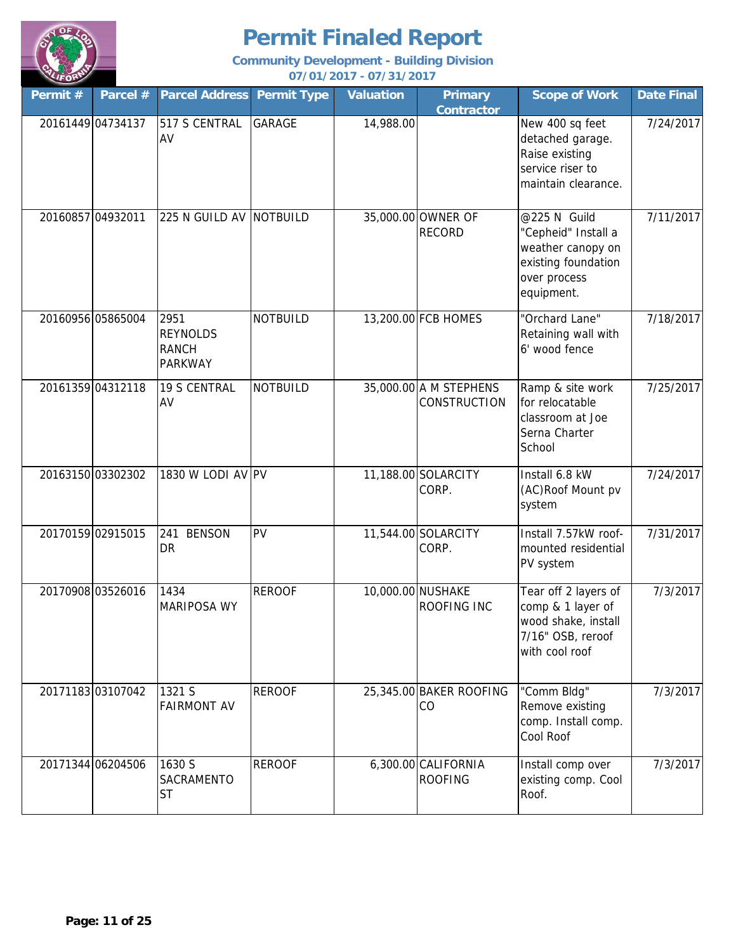

| Permit # | Parcel #          | <b>Parcel Address</b>                                     | <b>Permit Type</b> | <b>Valuation</b> | <b>Primary</b><br><b>Contractor</b>           | <b>Scope of Work</b>                                                                                          | <b>Date Final</b> |
|----------|-------------------|-----------------------------------------------------------|--------------------|------------------|-----------------------------------------------|---------------------------------------------------------------------------------------------------------------|-------------------|
|          | 20161449 04734137 | 517 S CENTRAL<br>AV                                       | <b>GARAGE</b>      | 14,988.00        |                                               | New 400 sq feet<br>detached garage.<br>Raise existing<br>service riser to<br>maintain clearance.              | 7/24/2017         |
|          | 20160857 04932011 | 225 N GUILD AV NOTBUILD                                   |                    |                  | 35,000.00 OWNER OF<br><b>RECORD</b>           | @225 N Guild<br>"Cepheid" Install a<br>weather canopy on<br>existing foundation<br>over process<br>equipment. | 7/11/2017         |
|          | 20160956 05865004 | 2951<br><b>REYNOLDS</b><br><b>RANCH</b><br><b>PARKWAY</b> | <b>NOTBUILD</b>    |                  | 13,200.00 FCB HOMES                           | "Orchard Lane"<br>Retaining wall with<br>6' wood fence                                                        | 7/18/2017         |
|          | 20161359 04312118 | <b>19 S CENTRAL</b><br>AV                                 | <b>NOTBUILD</b>    |                  | 35,000.00 A M STEPHENS<br><b>CONSTRUCTION</b> | Ramp & site work<br>for relocatable<br>classroom at Joe<br>Serna Charter<br>School                            | 7/25/2017         |
|          | 20163150 03302302 | 1830 W LODI AV PV                                         |                    |                  | 11,188.00 SOLARCITY<br>CORP.                  | Install 6.8 kW<br>(AC)Roof Mount pv<br>system                                                                 | 7/24/2017         |
|          | 20170159 02915015 | 241 BENSON<br><b>DR</b>                                   | PV                 |                  | 11,544.00 SOLARCITY<br>CORP.                  | Install 7.57kW roof-<br>mounted residential<br>PV system                                                      | 7/31/2017         |
|          | 20170908 03526016 | 1434<br><b>MARIPOSA WY</b>                                | <b>REROOF</b>      |                  | 10,000.00 NUSHAKE<br><b>ROOFING INC</b>       | Tear off 2 layers of<br>comp & 1 layer of<br>wood shake, install<br>7/16" OSB, reroof<br>with cool roof       | 7/3/2017          |
|          | 20171183 03107042 | 1321 S<br><b>FAIRMONT AV</b>                              | <b>REROOF</b>      |                  | 25,345.00 BAKER ROOFING<br>CO                 | "Comm Bldg"<br>Remove existing<br>comp. Install comp.<br>Cool Roof                                            | 7/3/2017          |
|          | 20171344 06204506 | 1630 S<br>SACRAMENTO<br><b>ST</b>                         | <b>REROOF</b>      |                  | 6,300.00 CALIFORNIA<br><b>ROOFING</b>         | Install comp over<br>existing comp. Cool<br>Roof.                                                             | 7/3/2017          |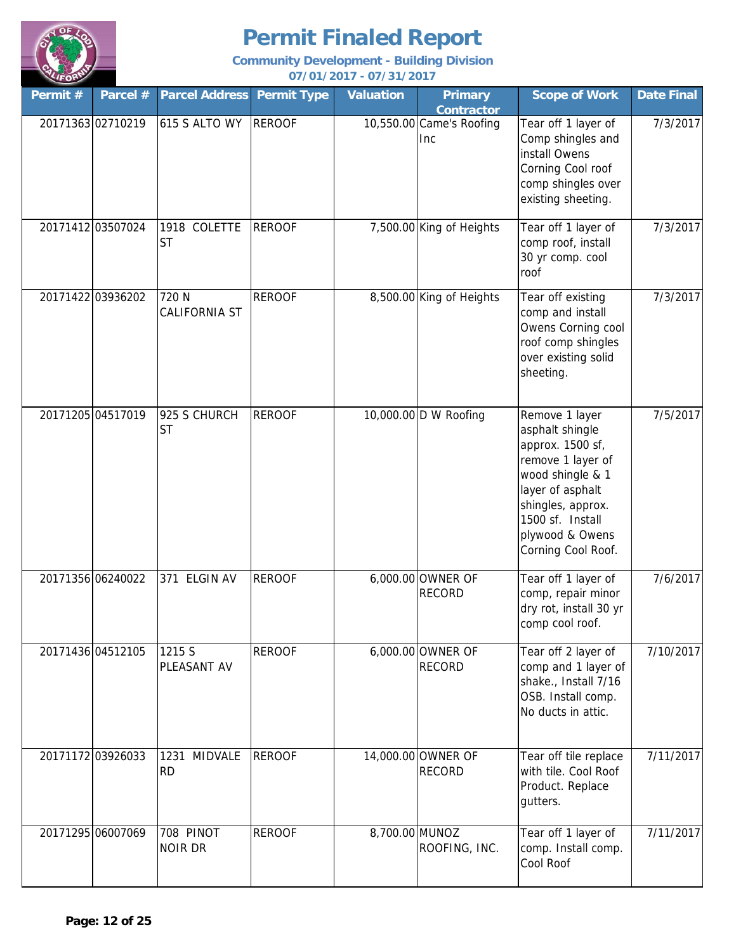

| Permit # | Parcel #          | <b>Parcel Address</b>               | <b>Permit Type</b> | <b>Valuation</b> | <b>Primary</b><br><b>Contractor</b> | <b>Scope of Work</b>                                                                                                                                                                                 | <b>Date Final</b> |
|----------|-------------------|-------------------------------------|--------------------|------------------|-------------------------------------|------------------------------------------------------------------------------------------------------------------------------------------------------------------------------------------------------|-------------------|
|          | 20171363 02710219 | 615 S ALTO WY                       | <b>REROOF</b>      |                  | 10,550.00 Came's Roofing<br>Inc     | Tear off 1 layer of<br>Comp shingles and<br>install Owens<br>Corning Cool roof<br>comp shingles over<br>existing sheeting.                                                                           | 7/3/2017          |
|          | 20171412 03507024 | 1918 COLETTE<br><b>ST</b>           | <b>REROOF</b>      |                  | 7,500.00 King of Heights            | Tear off 1 layer of<br>comp roof, install<br>30 yr comp. cool<br>roof                                                                                                                                | 7/3/2017          |
|          | 20171422 03936202 | 720 N<br><b>CALIFORNIA ST</b>       | <b>REROOF</b>      |                  | 8,500.00 King of Heights            | Tear off existing<br>comp and install<br>Owens Corning cool<br>roof comp shingles<br>over existing solid<br>sheeting.                                                                                | 7/3/2017          |
|          | 20171205 04517019 | 925 S CHURCH<br><b>ST</b>           | <b>REROOF</b>      |                  | 10,000.00 D W Roofing               | Remove 1 layer<br>asphalt shingle<br>approx. 1500 sf,<br>remove 1 layer of<br>wood shingle & 1<br>layer of asphalt<br>shingles, approx.<br>1500 sf. Install<br>plywood & Owens<br>Corning Cool Roof. | 7/5/2017          |
|          | 20171356 06240022 | 371 ELGIN AV                        | <b>REROOF</b>      |                  | 6,000.00 OWNER OF<br><b>RECORD</b>  | Tear off 1 layer of<br>comp, repair minor<br>dry rot, install 30 yr<br>comp cool roof.                                                                                                               | 7/6/2017          |
|          | 20171436 04512105 | 1215 S<br>PLEASANT AV               | <b>REROOF</b>      |                  | 6,000.00 OWNER OF<br><b>RECORD</b>  | Tear off 2 layer of<br>comp and 1 layer of<br>shake., Install 7/16<br>OSB. Install comp.<br>No ducts in attic.                                                                                       | 7/10/2017         |
|          | 20171172 03926033 | <b>MIDVALE</b><br>1231<br><b>RD</b> | <b>REROOF</b>      |                  | 14,000.00 OWNER OF<br><b>RECORD</b> | Tear off tile replace<br>with tile. Cool Roof<br>Product. Replace<br>gutters.                                                                                                                        | 7/11/2017         |
|          | 20171295 06007069 | 708 PINOT<br><b>NOIR DR</b>         | <b>REROOF</b>      | 8,700.00 MUNOZ   | ROOFING, INC.                       | Tear off 1 layer of<br>comp. Install comp.<br>Cool Roof                                                                                                                                              | 7/11/2017         |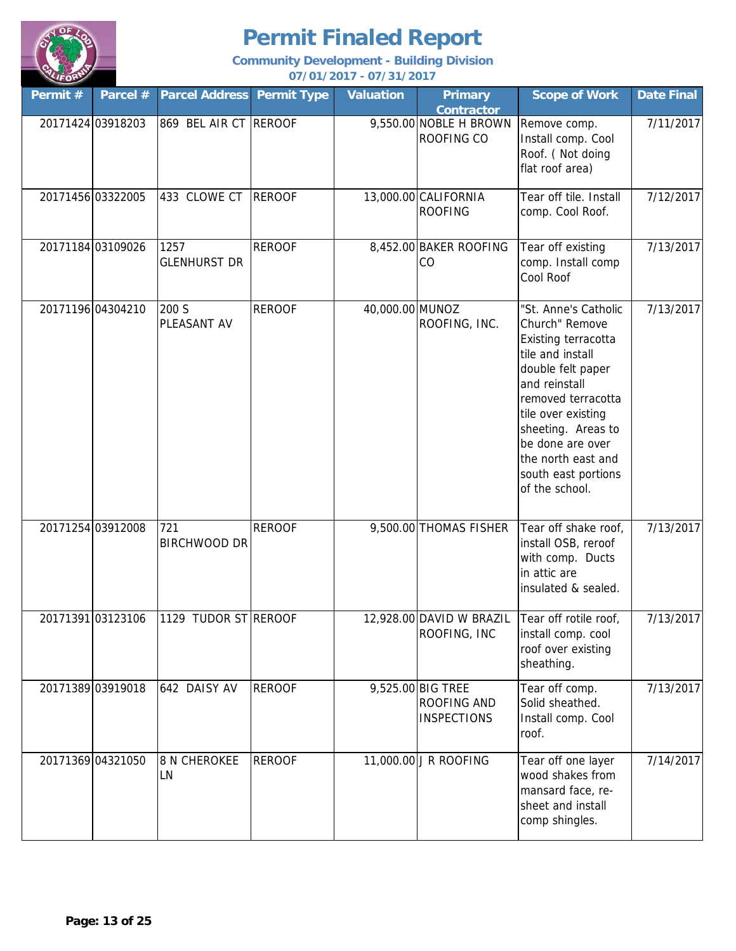

| Permit # | Parcel #          | <b>Parcel Address</b>       | <b>Permit Type</b> | <b>Valuation</b> | <b>Primary</b><br><b>Contractor</b>                    | <b>Scope of Work</b>                                                                                                                                                                                                                                                         | <b>Date Final</b> |
|----------|-------------------|-----------------------------|--------------------|------------------|--------------------------------------------------------|------------------------------------------------------------------------------------------------------------------------------------------------------------------------------------------------------------------------------------------------------------------------------|-------------------|
|          | 20171424 03918203 | 869 BEL AIR CT REROOF       |                    |                  | 9,550.00 NOBLE H BROWN<br>ROOFING CO                   | Remove comp.<br>Install comp. Cool<br>Roof. (Not doing<br>flat roof area)                                                                                                                                                                                                    | 7/11/2017         |
|          | 20171456 03322005 | 433 CLOWE CT                | <b>REROOF</b>      |                  | 13,000.00 CALIFORNIA<br><b>ROOFING</b>                 | Tear off tile. Install<br>comp. Cool Roof.                                                                                                                                                                                                                                   | 7/12/2017         |
|          | 20171184 03109026 | 1257<br><b>GLENHURST DR</b> | <b>REROOF</b>      |                  | 8,452.00 BAKER ROOFING<br>CO                           | Tear off existing<br>comp. Install comp<br>Cool Roof                                                                                                                                                                                                                         | 7/13/2017         |
|          | 20171196 04304210 | 200 S<br>PLEASANT AV        | <b>REROOF</b>      | 40,000.00 MUNOZ  | ROOFING, INC.                                          | "St. Anne's Catholic<br>Church" Remove<br>Existing terracotta<br>tile and install<br>double felt paper<br>and reinstall<br>removed terracotta<br>tile over existing<br>sheeting. Areas to<br>be done are over<br>the north east and<br>south east portions<br>of the school. | 7/13/2017         |
|          | 20171254 03912008 | 721<br><b>BIRCHWOOD DR</b>  | <b>REROOF</b>      |                  | 9,500.00 THOMAS FISHER                                 | Tear off shake roof,<br>install OSB, reroof<br>with comp. Ducts<br>in attic are<br>insulated & sealed.                                                                                                                                                                       | 7/13/2017         |
|          | 20171391 03123106 | 1129 TUDOR ST REROOF        |                    |                  | ROOFING, INC                                           | 12,928.00 DAVID W BRAZIL   Tear off rotile roof,<br>install comp. cool<br>roof over existing<br>sheathing.                                                                                                                                                                   | 7/13/2017         |
|          | 20171389 03919018 | 642 DAISY AV                | <b>REROOF</b>      |                  | 9,525.00 BIG TREE<br>ROOFING AND<br><b>INSPECTIONS</b> | Tear off comp.<br>Solid sheathed.<br>Install comp. Cool<br>roof.                                                                                                                                                                                                             | 7/13/2017         |
|          | 20171369 04321050 | <b>8 N CHEROKEE</b><br>LN   | <b>REROOF</b>      |                  | 11,000.00 J R ROOFING                                  | Tear off one layer<br>wood shakes from<br>mansard face, re-<br>sheet and install<br>comp shingles.                                                                                                                                                                           | 7/14/2017         |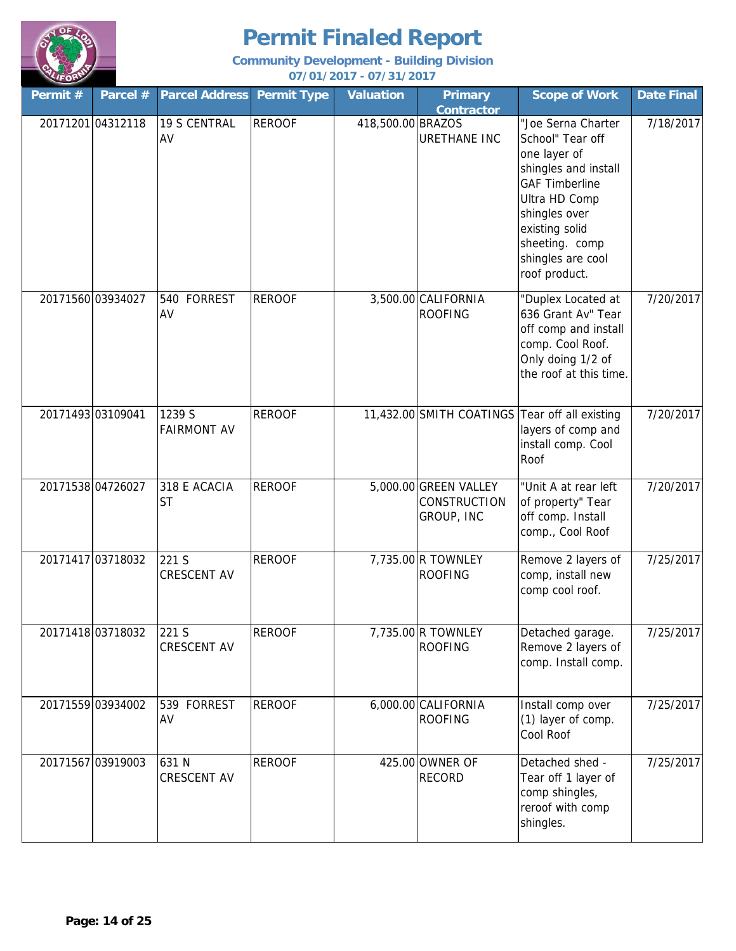

| Permit # | Parcel #          | <b>Parcel Address Permit Type</b> |               | <b>Valuation</b>  | <b>Primary</b>                                      | <b>Scope of Work</b>                                                                                                                                                                                                | <b>Date Final</b> |
|----------|-------------------|-----------------------------------|---------------|-------------------|-----------------------------------------------------|---------------------------------------------------------------------------------------------------------------------------------------------------------------------------------------------------------------------|-------------------|
|          | 20171201 04312118 | <b>19 S CENTRAL</b><br>AV         | <b>REROOF</b> | 418,500.00 BRAZOS | <b>Contractor</b><br><b>URETHANE INC</b>            | "Joe Serna Charter<br>School" Tear off<br>one layer of<br>shingles and install<br><b>GAF Timberline</b><br>Ultra HD Comp<br>shingles over<br>existing solid<br>sheeting. comp<br>shingles are cool<br>roof product. | 7/18/2017         |
|          | 20171560 03934027 | 540 FORREST<br>AV                 | <b>REROOF</b> |                   | 3,500.00 CALIFORNIA<br><b>ROOFING</b>               | "Duplex Located at<br>636 Grant Av" Tear<br>off comp and install<br>comp. Cool Roof.<br>Only doing 1/2 of<br>the roof at this time.                                                                                 | 7/20/2017         |
|          | 20171493 03109041 | 1239 S<br><b>FAIRMONT AV</b>      | <b>REROOF</b> |                   |                                                     | 11,432.00 SMITH COATINGS Tear off all existing<br>layers of comp and<br>install comp. Cool<br>Roof                                                                                                                  | 7/20/2017         |
|          | 20171538 04726027 | 318 E ACACIA<br><b>ST</b>         | <b>REROOF</b> |                   | 5,000.00 GREEN VALLEY<br>CONSTRUCTION<br>GROUP, INC | "Unit A at rear left<br>of property" Tear<br>off comp. Install<br>comp., Cool Roof                                                                                                                                  | 7/20/2017         |
|          | 20171417 03718032 | 221 S<br><b>CRESCENT AV</b>       | <b>REROOF</b> |                   | 7,735.00 R TOWNLEY<br><b>ROOFING</b>                | Remove 2 layers of<br>comp, install new<br>comp cool roof.                                                                                                                                                          | 7/25/2017         |
|          | 20171418 03718032 | 221 S<br><b>CRESCENT AV</b>       | <b>REROOF</b> |                   | 7,735.00 R TOWNLEY<br><b>ROOFING</b>                | Detached garage.<br>Remove 2 layers of<br>comp. Install comp.                                                                                                                                                       | 7/25/2017         |
|          | 20171559 03934002 | 539 FORREST<br>AV                 | <b>REROOF</b> |                   | 6,000.00 CALIFORNIA<br><b>ROOFING</b>               | Install comp over<br>(1) layer of comp.<br>Cool Roof                                                                                                                                                                | 7/25/2017         |
|          | 20171567 03919003 | 631 N<br>CRESCENT AV              | <b>REROOF</b> |                   | 425.00 OWNER OF<br><b>RECORD</b>                    | Detached shed -<br>Tear off 1 layer of<br>comp shingles,<br>reroof with comp<br>shingles.                                                                                                                           | 7/25/2017         |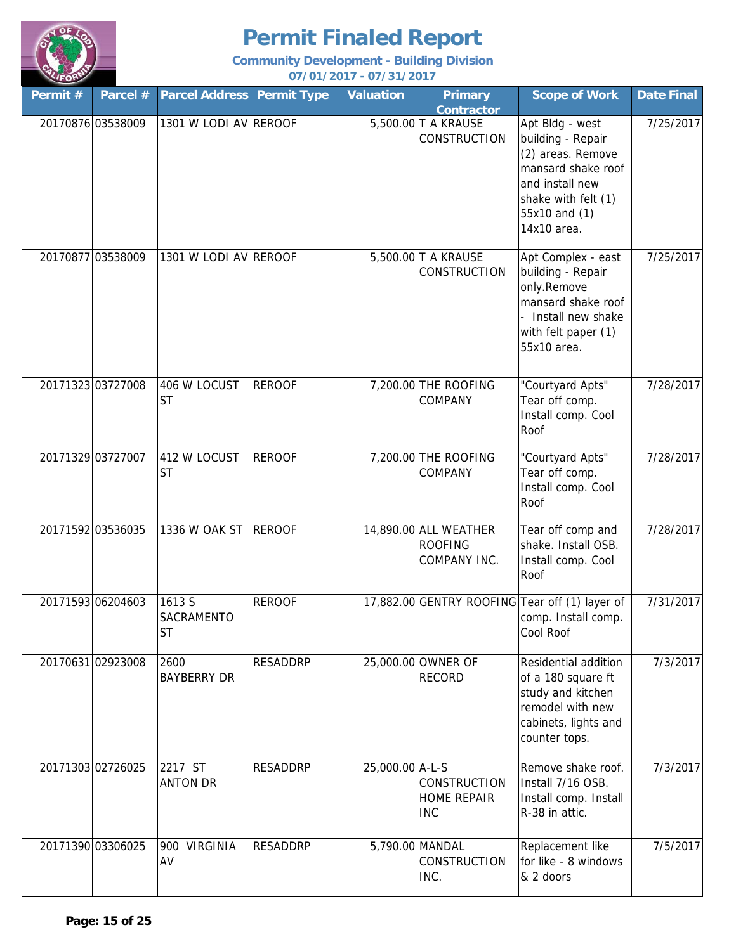

| Permit #          | Parcel #          | <b>Parcel Address</b>                    | <b>Permit Type</b> | <b>Valuation</b> | <b>Primary</b><br><b>Contractor</b>                     | <b>Scope of Work</b>                                                                                                                                      | <b>Date Final</b> |
|-------------------|-------------------|------------------------------------------|--------------------|------------------|---------------------------------------------------------|-----------------------------------------------------------------------------------------------------------------------------------------------------------|-------------------|
|                   | 20170876 03538009 | 1301 W LODI AV REROOF                    |                    |                  | 5,500.00 T A KRAUSE<br>CONSTRUCTION                     | Apt Bldg - west<br>building - Repair<br>(2) areas. Remove<br>mansard shake roof<br>and install new<br>shake with felt (1)<br>55x10 and (1)<br>14x10 area. | 7/25/2017         |
|                   | 20170877 03538009 | 1301 W LODI AV REROOF                    |                    |                  | 5,500.00 T A KRAUSE<br><b>CONSTRUCTION</b>              | Apt Complex - east<br>building - Repair<br>only.Remove<br>mansard shake roof<br>Install new shake<br>with felt paper (1)<br>55x10 area.                   | 7/25/2017         |
| 20171323 03727008 |                   | 406 W LOCUST<br><b>ST</b>                | <b>REROOF</b>      |                  | 7,200.00 THE ROOFING<br>COMPANY                         | "Courtyard Apts"<br>Tear off comp.<br>Install comp. Cool<br>Roof                                                                                          | 7/28/2017         |
| 20171329 03727007 |                   | 412 W LOCUST<br><b>ST</b>                | <b>REROOF</b>      |                  | 7,200.00 THE ROOFING<br>COMPANY                         | "Courtyard Apts"<br>Tear off comp.<br>Install comp. Cool<br>Roof                                                                                          | 7/28/2017         |
| 20171592 03536035 |                   | 1336 W OAK ST                            | <b>REROOF</b>      |                  | 14,890.00 ALL WEATHER<br><b>ROOFING</b><br>COMPANY INC. | Tear off comp and<br>shake. Install OSB.<br>Install comp. Cool<br>Roof                                                                                    | 7/28/2017         |
| 20171593 06204603 |                   | 1613 S<br><b>SACRAMENTO</b><br><b>ST</b> | <b>REROOF</b>      |                  |                                                         | 17,882.00 GENTRY ROOFING Tear off (1) layer of<br>comp. Install comp.<br>Cool Roof                                                                        | 7/31/2017         |
| 20170631 02923008 |                   | 2600<br><b>BAYBERRY DR</b>               | <b>RESADDRP</b>    |                  | 25,000.00 OWNER OF<br><b>RECORD</b>                     | Residential addition<br>of a 180 square ft<br>study and kitchen<br>remodel with new<br>cabinets, lights and<br>counter tops.                              | 7/3/2017          |
| 20171303 02726025 |                   | 2217 ST<br><b>ANTON DR</b>               | <b>RESADDRP</b>    | 25,000.00 A-L-S  | CONSTRUCTION<br><b>HOME REPAIR</b><br><b>INC</b>        | Remove shake roof.<br>Install 7/16 OSB.<br>Install comp. Install<br>R-38 in attic.                                                                        | 7/3/2017          |
| 20171390 03306025 |                   | <b>VIRGINIA</b><br>900<br>AV             | <b>RESADDRP</b>    |                  | 5,790.00 MANDAL<br>CONSTRUCTION<br>INC.                 | Replacement like<br>for like - 8 windows<br>& 2 doors                                                                                                     | 7/5/2017          |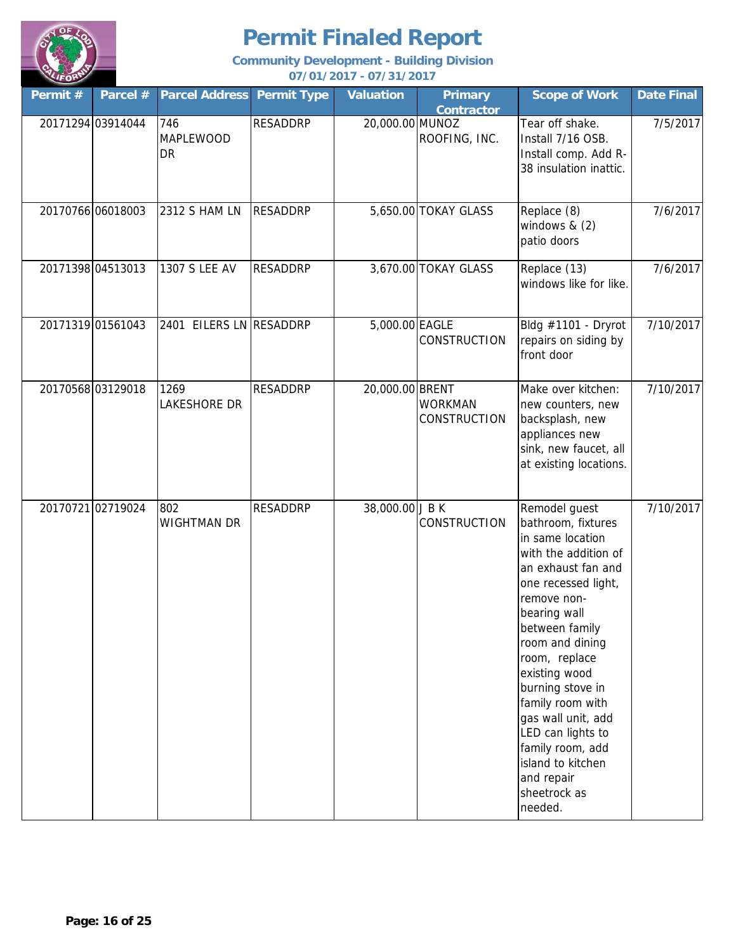

| Permit # | Parcel #          | <b>Parcel Address</b>       | <b>Permit Type</b> | <b>Valuation</b> | <b>Primary</b><br><b>Contractor</b>   | <b>Scope of Work</b>                                                                                                                                                                                                                                                                                                                                                                                    | <b>Date Final</b> |
|----------|-------------------|-----------------------------|--------------------|------------------|---------------------------------------|---------------------------------------------------------------------------------------------------------------------------------------------------------------------------------------------------------------------------------------------------------------------------------------------------------------------------------------------------------------------------------------------------------|-------------------|
|          | 20171294 03914044 | 746<br>MAPLEWOOD<br>DR      | <b>RESADDRP</b>    | 20,000.00 MUNOZ  | ROOFING, INC.                         | Tear off shake.<br>Install 7/16 OSB.<br>Install comp. Add R-<br>38 insulation inattic.                                                                                                                                                                                                                                                                                                                  | 7/5/2017          |
|          | 20170766 06018003 | 2312 S HAM LN               | <b>RESADDRP</b>    |                  | 5,650.00 TOKAY GLASS                  | Replace (8)<br>windows $& (2)$<br>patio doors                                                                                                                                                                                                                                                                                                                                                           | 7/6/2017          |
|          | 20171398 04513013 | 1307 S LEE AV               | <b>RESADDRP</b>    |                  | 3,670.00 TOKAY GLASS                  | Replace (13)<br>windows like for like.                                                                                                                                                                                                                                                                                                                                                                  | 7/6/2017          |
|          | 20171319 01561043 | 2401 EILERS LN RESADDRP     |                    | 5,000.00 EAGLE   | CONSTRUCTION                          | Bldg #1101 - Dryrot<br>repairs on siding by<br>front door                                                                                                                                                                                                                                                                                                                                               | 7/10/2017         |
|          | 20170568 03129018 | 1269<br><b>LAKESHORE DR</b> | <b>RESADDRP</b>    | 20,000.00 BRENT  | <b>WORKMAN</b><br><b>CONSTRUCTION</b> | Make over kitchen:<br>new counters, new<br>backsplash, new<br>appliances new<br>sink, new faucet, all<br>at existing locations.                                                                                                                                                                                                                                                                         | 7/10/2017         |
|          | 20170721 02719024 | 802<br><b>WIGHTMAN DR</b>   | <b>RESADDRP</b>    | 38,000.00 J B K  | CONSTRUCTION                          | Remodel guest<br>bathroom, fixtures<br>in same location<br>with the addition of<br>an exhaust fan and<br>one recessed light,<br>remove non-<br>bearing wall<br>between family<br>room and dining<br>room, replace<br>existing wood<br>burning stove in<br>family room with<br>gas wall unit, add<br>LED can lights to<br>family room, add<br>island to kitchen<br>and repair<br>sheetrock as<br>needed. | 7/10/2017         |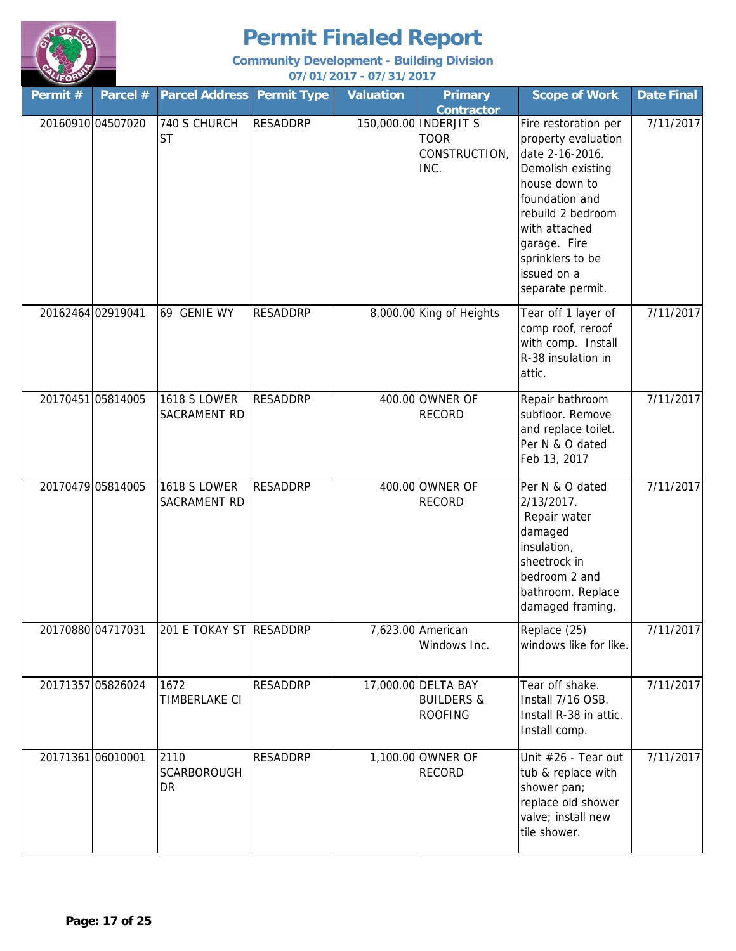

| Permit #          | Parcel #          | <b>Parcel Address</b>               | <b>Permit Type</b> | <b>Valuation</b> | <b>Primary</b><br><b>Contractor</b>                            | <b>Scope of Work</b>                                                                                                                                                                                                                | <b>Date Final</b> |
|-------------------|-------------------|-------------------------------------|--------------------|------------------|----------------------------------------------------------------|-------------------------------------------------------------------------------------------------------------------------------------------------------------------------------------------------------------------------------------|-------------------|
| 20160910 04507020 |                   | 740 S CHURCH<br><b>ST</b>           | <b>RESADDRP</b>    |                  | 150,000.00 INDERJIT S<br><b>TOOR</b><br>CONSTRUCTION,<br>INC.  | Fire restoration per<br>property evaluation<br>date 2-16-2016.<br>Demolish existing<br>house down to<br>foundation and<br>rebuild 2 bedroom<br>with attached<br>garage. Fire<br>sprinklers to be<br>issued on a<br>separate permit. | 7/11/2017         |
| 20162464 02919041 |                   | 69 GENIE WY                         | <b>RESADDRP</b>    |                  | 8,000.00 King of Heights                                       | Tear off 1 layer of<br>comp roof, reroof<br>with comp. Install<br>R-38 insulation in<br>attic.                                                                                                                                      | 7/11/2017         |
| 20170451 05814005 |                   | <b>1618 S LOWER</b><br>SACRAMENT RD | <b>RESADDRP</b>    |                  | 400.00 OWNER OF<br><b>RECORD</b>                               | Repair bathroom<br>subfloor. Remove<br>and replace toilet.<br>Per N & O dated<br>Feb 13, 2017                                                                                                                                       | 7/11/2017         |
| 20170479 05814005 |                   | <b>1618 S LOWER</b><br>SACRAMENT RD | <b>RESADDRP</b>    |                  | 400.00 OWNER OF<br><b>RECORD</b>                               | Per N & O dated<br>2/13/2017.<br>Repair water<br>damaged<br>insulation,<br>sheetrock in<br>bedroom 2 and<br>bathroom. Replace<br>damaged framing.                                                                                   | 7/11/2017         |
|                   | 20170880 04717031 | 201 E TOKAY ST RESADDRP             |                    |                  | 7,623.00 American<br>Windows Inc.                              | Replace (25)<br>windows like for like.                                                                                                                                                                                              | 7/11/2017         |
| 20171357 05826024 |                   | 1672<br>TIMBERLAKE CI               | <b>RESADDRP</b>    |                  | 17,000.00 DELTA BAY<br><b>BUILDERS &amp;</b><br><b>ROOFING</b> | Tear off shake.<br>Install 7/16 OSB.<br>Install R-38 in attic.<br>Install comp.                                                                                                                                                     | 7/11/2017         |
| 20171361 06010001 |                   | 2110<br><b>SCARBOROUGH</b><br>DR    | <b>RESADDRP</b>    |                  | 1,100.00 OWNER OF<br><b>RECORD</b>                             | Unit #26 - Tear out<br>tub & replace with<br>shower pan;<br>replace old shower<br>valve; install new<br>tile shower.                                                                                                                | 7/11/2017         |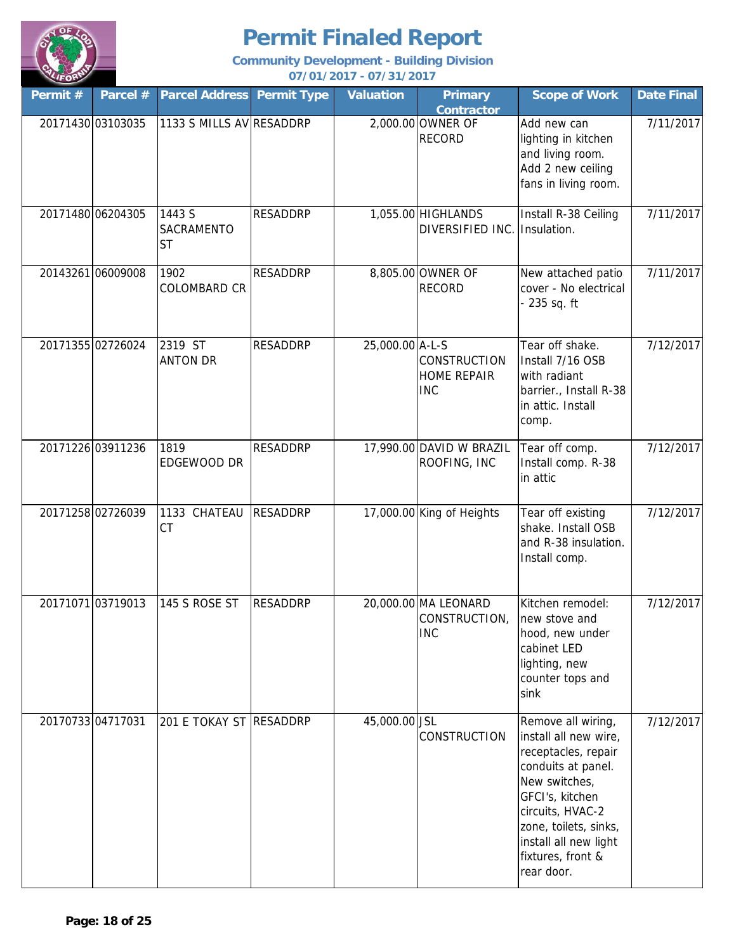

| Permit #          | Parcel #          | <b>Parcel Address</b>             | <b>Permit Type</b> | <b>Valuation</b> | <b>Primary</b><br><b>Contractor</b>                 | <b>Scope of Work</b>                                                                                                                                                                                                                  | <b>Date Final</b> |
|-------------------|-------------------|-----------------------------------|--------------------|------------------|-----------------------------------------------------|---------------------------------------------------------------------------------------------------------------------------------------------------------------------------------------------------------------------------------------|-------------------|
|                   | 20171430 03103035 | 1133 S MILLS AV RESADDRP          |                    |                  | 2,000.00 OWNER OF<br><b>RECORD</b>                  | Add new can<br>lighting in kitchen<br>and living room.<br>Add 2 new ceiling<br>fans in living room.                                                                                                                                   | 7/11/2017         |
|                   | 20171480 06204305 | 1443 S<br>SACRAMENTO<br><b>ST</b> | <b>RESADDRP</b>    |                  | 1,055.00 HIGHLANDS<br>DIVERSIFIED INC.              | Install R-38 Ceiling<br>Insulation.                                                                                                                                                                                                   | 7/11/2017         |
|                   | 20143261 06009008 | 1902<br><b>COLOMBARD CR</b>       | <b>RESADDRP</b>    |                  | 8,805.00 OWNER OF<br><b>RECORD</b>                  | New attached patio<br>cover - No electrical<br>235 sq. ft                                                                                                                                                                             | 7/11/2017         |
|                   | 20171355 02726024 | 2319 ST<br><b>ANTON DR</b>        | <b>RESADDRP</b>    | 25,000.00 A-L-S  | CONSTRUCTION<br><b>HOME REPAIR</b><br><b>INC</b>    | Tear off shake.<br>Install 7/16 OSB<br>with radiant<br>barrier., Install R-38<br>in attic. Install<br>comp.                                                                                                                           | 7/12/2017         |
|                   | 20171226 03911236 | 1819<br>EDGEWOOD DR               | <b>RESADDRP</b>    |                  | 17,990.00 DAVID W BRAZIL<br>ROOFING, INC            | Tear off comp.<br>Install comp. R-38<br>in attic                                                                                                                                                                                      | 7/12/2017         |
|                   | 20171258 02726039 | 1133 CHATEAU<br><b>CT</b>         | <b>RESADDRP</b>    |                  | 17,000.00 King of Heights                           | Tear off existing<br>shake. Install OSB<br>and R-38 insulation.<br>Install comp.                                                                                                                                                      | 7/12/2017         |
|                   | 20171071 03719013 | 145 S ROSE ST                     | <b>RESADDRP</b>    |                  | 20,000.00 MA LEONARD<br>CONSTRUCTION,<br><b>INC</b> | Kitchen remodel:<br>new stove and<br>hood, new under<br>cabinet LED<br>lighting, new<br>counter tops and<br>sink                                                                                                                      | 7/12/2017         |
| 20170733 04717031 |                   | 201 E TOKAY ST RESADDRP           |                    | 45,000.00 JSL    | CONSTRUCTION                                        | Remove all wiring,<br>install all new wire,<br>receptacles, repair<br>conduits at panel.<br>New switches,<br>GFCI's, kitchen<br>circuits, HVAC-2<br>zone, toilets, sinks,<br>install all new light<br>fixtures, front &<br>rear door. | 7/12/2017         |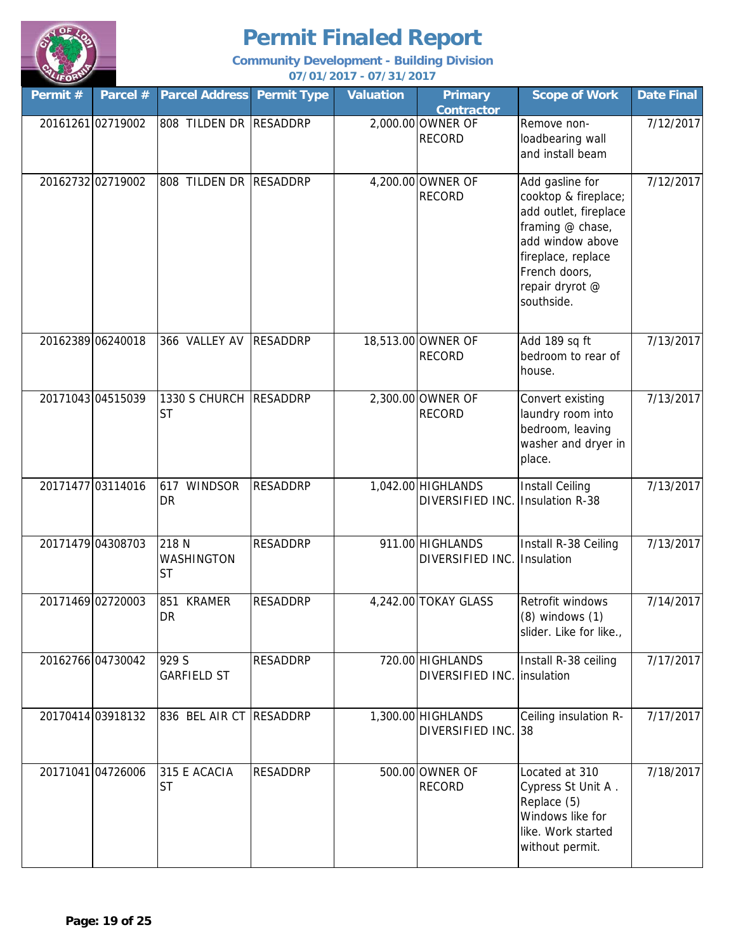

| Permit #          | Parcel #          | <b>Parcel Address</b>               | <b>Permit Type</b> | <b>Valuation</b> | <b>Primary</b><br><b>Contractor</b>    | <b>Scope of Work</b>                                                                                                                                                             | <b>Date Final</b> |
|-------------------|-------------------|-------------------------------------|--------------------|------------------|----------------------------------------|----------------------------------------------------------------------------------------------------------------------------------------------------------------------------------|-------------------|
|                   | 20161261 02719002 | 808 TILDEN DR RESADDRP              |                    |                  | 2,000.00 OWNER OF<br><b>RECORD</b>     | Remove non-<br>loadbearing wall<br>and install beam                                                                                                                              | 7/12/2017         |
|                   | 20162732 02719002 | 808 TILDEN DR RESADDRP              |                    |                  | 4,200.00 OWNER OF<br><b>RECORD</b>     | Add gasline for<br>cooktop & fireplace;<br>add outlet, fireplace<br>framing @ chase,<br>add window above<br>fireplace, replace<br>French doors,<br>repair dryrot @<br>southside. | 7/12/2017         |
| 20162389 06240018 |                   | 366 VALLEY AV                       | <b>RESADDRP</b>    |                  | 18,513.00 OWNER OF<br><b>RECORD</b>    | Add 189 sq ft<br>bedroom to rear of<br>house.                                                                                                                                    | 7/13/2017         |
| 20171043 04515039 |                   | 1330 S CHURCH RESADDRP<br><b>ST</b> |                    |                  | 2,300.00 OWNER OF<br><b>RECORD</b>     | Convert existing<br>laundry room into<br>bedroom, leaving<br>washer and dryer in<br>place.                                                                                       | 7/13/2017         |
| 20171477 03114016 |                   | <b>WINDSOR</b><br>617<br>DR         | <b>RESADDRP</b>    |                  | 1,042.00 HIGHLANDS<br>DIVERSIFIED INC. | <b>Install Ceiling</b><br><b>Insulation R-38</b>                                                                                                                                 | 7/13/2017         |
| 20171479 04308703 |                   | 218 N<br>WASHINGTON<br><b>ST</b>    | <b>RESADDRP</b>    |                  | 911.00 HIGHLANDS<br>DIVERSIFIED INC.   | Install R-38 Ceiling<br>Insulation                                                                                                                                               | 7/13/2017         |
| 20171469 02720003 |                   | <b>KRAMER</b><br>851<br><b>DR</b>   | <b>RESADDRP</b>    |                  | 4,242.00 TOKAY GLASS                   | Retrofit windows<br>$(8)$ windows $(1)$<br>slider. Like for like.,                                                                                                               | 7/14/2017         |
|                   | 20162766 04730042 | 929 S<br><b>GARFIELD ST</b>         | RESADDRP           |                  | 720.00 HIGHLANDS<br>DIVERSIFIED INC.   | Install R-38 ceiling<br>insulation                                                                                                                                               | 7/17/2017         |
|                   | 20170414 03918132 | 836 BEL AIR CT RESADDRP             |                    |                  | 1,300.00 HIGHLANDS<br>DIVERSIFIED INC. | Ceiling insulation R-<br>38                                                                                                                                                      | 7/17/2017         |
| 20171041 04726006 |                   | 315 E ACACIA<br><b>ST</b>           | <b>RESADDRP</b>    |                  | 500.00 OWNER OF<br><b>RECORD</b>       | Located at 310<br>Cypress St Unit A.<br>Replace (5)<br>Windows like for<br>like. Work started<br>without permit.                                                                 | 7/18/2017         |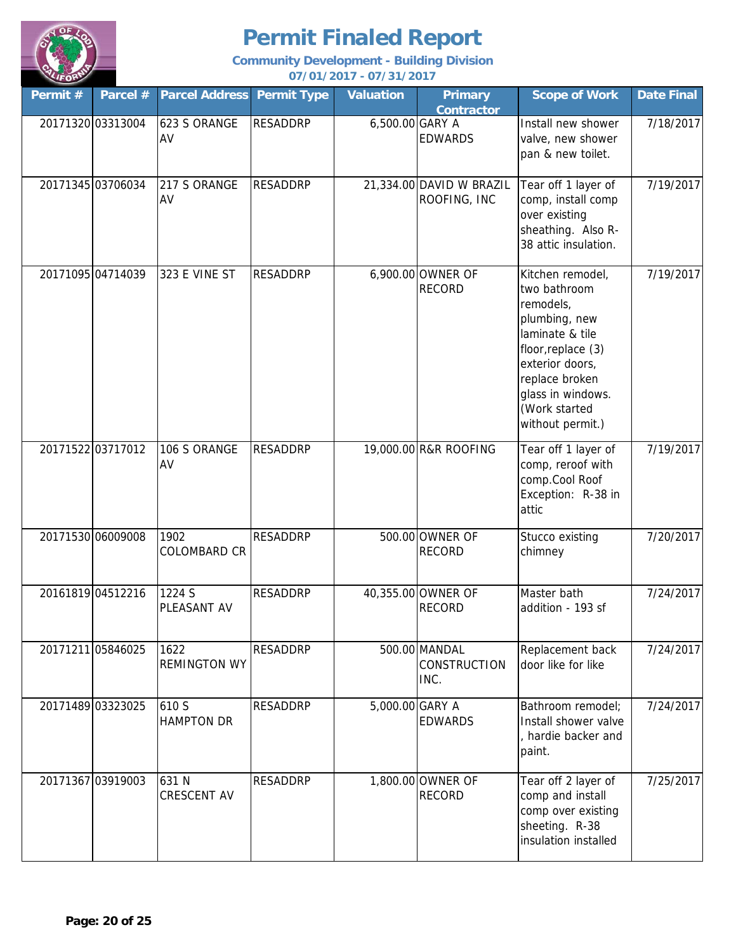

| Permit #          | Parcel # | <b>Parcel Address</b>       | <b>Permit Type</b> | <b>Valuation</b> | <b>Primary</b><br><b>Contractor</b>      | <b>Scope of Work</b>                                                                                                                                                                                   | <b>Date Final</b> |
|-------------------|----------|-----------------------------|--------------------|------------------|------------------------------------------|--------------------------------------------------------------------------------------------------------------------------------------------------------------------------------------------------------|-------------------|
| 20171320 03313004 |          | 623 S ORANGE<br>AV          | <b>RESADDRP</b>    | 6,500.00 GARY A  | <b>EDWARDS</b>                           | Install new shower<br>valve, new shower<br>pan & new toilet.                                                                                                                                           | 7/18/2017         |
| 20171345 03706034 |          | 217 S ORANGE<br>AV          | <b>RESADDRP</b>    |                  | 21,334.00 DAVID W BRAZIL<br>ROOFING, INC | Tear off 1 layer of<br>comp, install comp<br>over existing<br>sheathing. Also R-<br>38 attic insulation.                                                                                               | 7/19/2017         |
| 20171095 04714039 |          | 323 E VINE ST               | <b>RESADDRP</b>    |                  | 6,900.00 OWNER OF<br><b>RECORD</b>       | Kitchen remodel,<br>two bathroom<br>remodels,<br>plumbing, new<br>laminate & tile<br>floor, replace (3)<br>exterior doors,<br>replace broken<br>glass in windows.<br>(Work started<br>without permit.) | 7/19/2017         |
| 20171522 03717012 |          | 106 S ORANGE<br>AV          | <b>RESADDRP</b>    |                  | 19,000.00 R&R ROOFING                    | Tear off 1 layer of<br>comp, reroof with<br>comp.Cool Roof<br>Exception: R-38 in<br>attic                                                                                                              | 7/19/2017         |
| 20171530 06009008 |          | 1902<br><b>COLOMBARD CR</b> | <b>RESADDRP</b>    |                  | 500.00 OWNER OF<br><b>RECORD</b>         | Stucco existing<br>chimney                                                                                                                                                                             | 7/20/2017         |
| 20161819 04512216 |          | 1224 S<br>PLEASANT AV       | <b>RESADDRP</b>    |                  | 40,355.00 OWNER OF<br><b>RECORD</b>      | Master bath<br>addition - 193 sf                                                                                                                                                                       | 7/24/2017         |
| 20171211 05846025 |          | 1622<br><b>REMINGTON WY</b> | <b>RESADDRP</b>    |                  | 500.00 MANDAL<br>CONSTRUCTION<br>INC.    | Replacement back<br>door like for like                                                                                                                                                                 | 7/24/2017         |
| 20171489 03323025 |          | 610 S<br><b>HAMPTON DR</b>  | <b>RESADDRP</b>    | 5,000.00 GARY A  | <b>EDWARDS</b>                           | Bathroom remodel;<br>Install shower valve<br>, hardie backer and<br>paint.                                                                                                                             | 7/24/2017         |
| 20171367 03919003 |          | 631 N<br><b>CRESCENT AV</b> | <b>RESADDRP</b>    |                  | 1,800.00 OWNER OF<br><b>RECORD</b>       | Tear off 2 layer of<br>comp and install<br>comp over existing<br>sheeting. R-38<br>insulation installed                                                                                                | 7/25/2017         |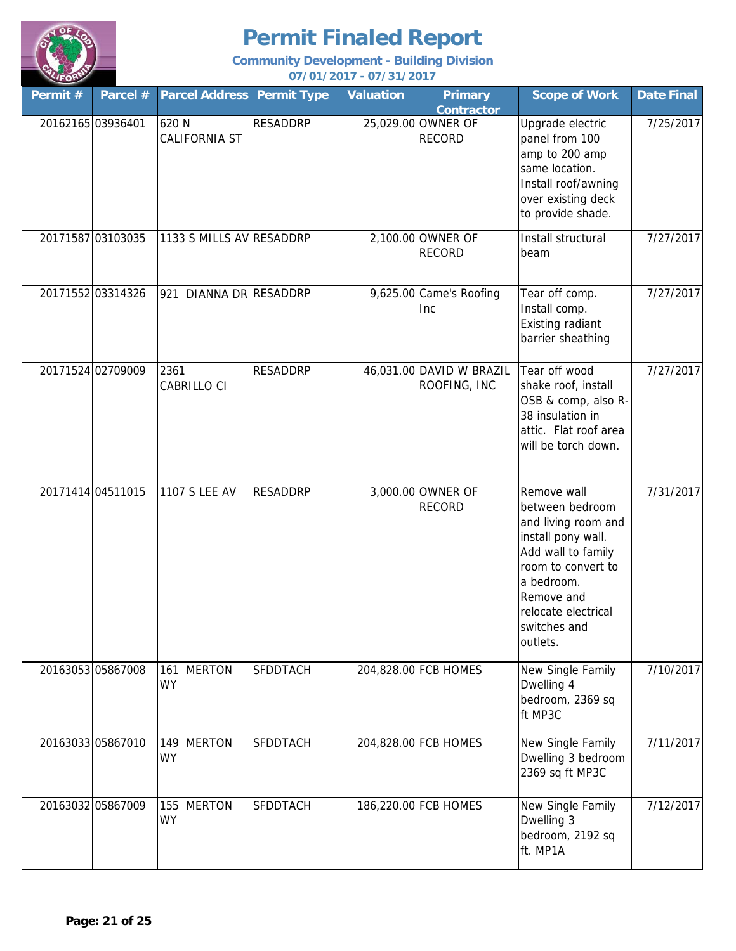

| Permit #          | Parcel # | <b>Parcel Address</b>             | <b>Permit Type</b> | <b>Valuation</b> | <b>Primary</b><br><b>Contractor</b>      | <b>Scope of Work</b>                                                                                                                                                                                   | <b>Date Final</b> |
|-------------------|----------|-----------------------------------|--------------------|------------------|------------------------------------------|--------------------------------------------------------------------------------------------------------------------------------------------------------------------------------------------------------|-------------------|
| 20162165 03936401 |          | 620 N<br><b>CALIFORNIA ST</b>     | <b>RESADDRP</b>    |                  | 25,029.00 OWNER OF<br><b>RECORD</b>      | Upgrade electric<br>panel from 100<br>amp to 200 amp<br>same location.<br>Install roof/awning<br>over existing deck<br>to provide shade.                                                               | 7/25/2017         |
| 20171587 03103035 |          | 1133 S MILLS AV RESADDRP          |                    |                  | 2,100.00 OWNER OF<br><b>RECORD</b>       | Install structural<br>beam                                                                                                                                                                             | 7/27/2017         |
| 20171552 03314326 |          | DIANNA DR RESADDRP<br>921         |                    |                  | 9,625.00 Came's Roofing<br><b>Inc</b>    | Tear off comp.<br>Install comp.<br>Existing radiant<br>barrier sheathing                                                                                                                               | 7/27/2017         |
| 20171524 02709009 |          | 2361<br>CABRILLO CI               | <b>RESADDRP</b>    |                  | 46,031.00 DAVID W BRAZIL<br>ROOFING, INC | Tear off wood<br>shake roof, install<br>OSB & comp, also R-<br>38 insulation in<br>attic. Flat roof area<br>will be torch down.                                                                        | 7/27/2017         |
| 20171414 04511015 |          | <b>1107 S LEE AV</b>              | <b>RESADDRP</b>    |                  | 3,000.00 OWNER OF<br><b>RECORD</b>       | Remove wall<br>between bedroom<br>and living room and<br>install pony wall.<br>Add wall to family<br>room to convert to<br>a bedroom.<br>Remove and<br>relocate electrical<br>switches and<br>outlets. | 7/31/2017         |
| 20163053 05867008 |          | <b>MERTON</b><br>161<br><b>WY</b> | <b>SFDDTACH</b>    |                  | 204,828.00 FCB HOMES                     | New Single Family<br>Dwelling 4<br>bedroom, 2369 sq<br>ft MP3C                                                                                                                                         | 7/10/2017         |
| 20163033 05867010 |          | 149 MERTON<br><b>WY</b>           | SFDDTACH           |                  | 204,828.00 FCB HOMES                     | New Single Family<br>Dwelling 3 bedroom<br>2369 sq ft MP3C                                                                                                                                             | 7/11/2017         |
| 20163032 05867009 |          | 155 MERTON<br><b>WY</b>           | SFDDTACH           |                  | 186,220.00 FCB HOMES                     | New Single Family<br>Dwelling 3<br>bedroom, 2192 sq<br>ft. MP1A                                                                                                                                        | 7/12/2017         |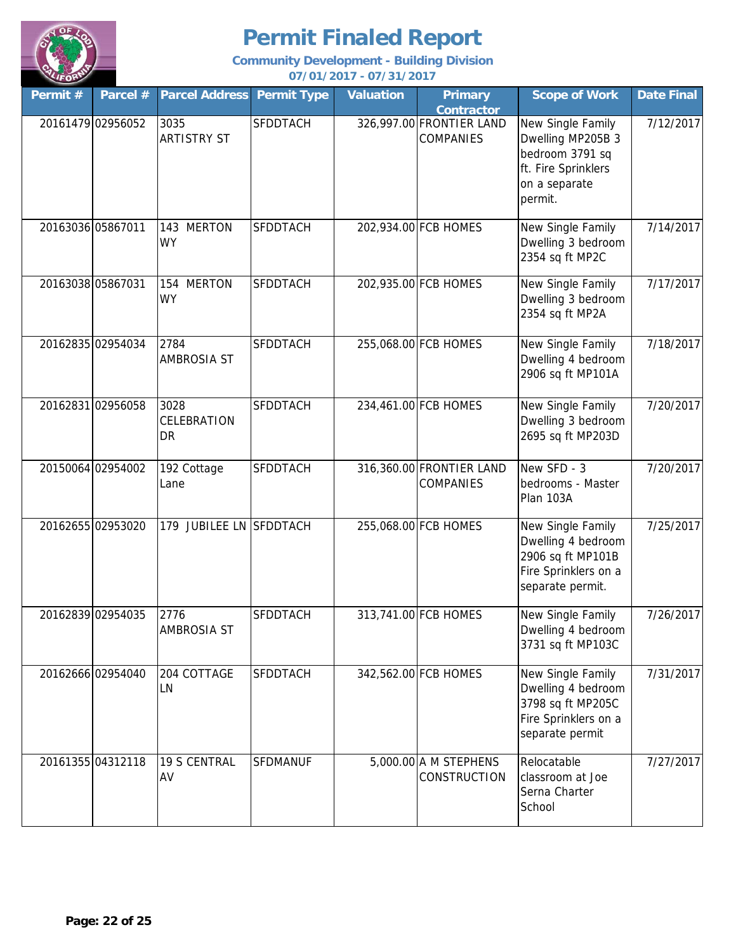

| Permit # | Parcel #          | <b>Parcel Address</b>                   | <b>Permit Type</b> | <b>Valuation</b> | <b>Primary</b><br><b>Contractor</b>          | <b>Scope of Work</b>                                                                                         | <b>Date Final</b> |
|----------|-------------------|-----------------------------------------|--------------------|------------------|----------------------------------------------|--------------------------------------------------------------------------------------------------------------|-------------------|
|          | 20161479 02956052 | 3035<br><b>ARTISTRY ST</b>              | <b>SFDDTACH</b>    |                  | 326,997.00 FRONTIER LAND<br><b>COMPANIES</b> | New Single Family<br>Dwelling MP205B 3<br>bedroom 3791 sq<br>ft. Fire Sprinklers<br>on a separate<br>permit. | 7/12/2017         |
|          | 20163036 05867011 | 143 MERTON<br><b>WY</b>                 | <b>SFDDTACH</b>    |                  | 202,934.00 FCB HOMES                         | New Single Family<br>Dwelling 3 bedroom<br>2354 sq ft MP2C                                                   | 7/14/2017         |
|          | 20163038 05867031 | 154 MERTON<br><b>WY</b>                 | <b>SFDDTACH</b>    |                  | 202,935.00 FCB HOMES                         | New Single Family<br>Dwelling 3 bedroom<br>2354 sq ft MP2A                                                   | 7/17/2017         |
|          | 20162835 02954034 | 2784<br><b>AMBROSIA ST</b>              | <b>SFDDTACH</b>    |                  | 255,068.00 FCB HOMES                         | New Single Family<br>Dwelling 4 bedroom<br>2906 sq ft MP101A                                                 | 7/18/2017         |
|          | 20162831 02956058 | 3028<br><b>CELEBRATION</b><br><b>DR</b> | <b>SFDDTACH</b>    |                  | 234,461.00 FCB HOMES                         | New Single Family<br>Dwelling 3 bedroom<br>2695 sq ft MP203D                                                 | 7/20/2017         |
|          | 20150064 02954002 | 192 Cottage<br>Lane                     | <b>SFDDTACH</b>    |                  | 316,360.00 FRONTIER LAND<br><b>COMPANIES</b> | New SFD - 3<br>bedrooms - Master<br>Plan 103A                                                                | 7/20/2017         |
|          | 20162655 02953020 | 179 JUBILEE LN SFDDTACH                 |                    |                  | 255,068.00 FCB HOMES                         | New Single Family<br>Dwelling 4 bedroom<br>2906 sq ft MP101B<br>Fire Sprinklers on a<br>separate permit.     | 7/25/2017         |
|          | 20162839 02954035 | 2776<br><b>AMBROSIA ST</b>              | SFDDTACH           |                  | 313,741.00 FCB HOMES                         | New Single Family<br>Dwelling 4 bedroom<br>3731 sq ft MP103C                                                 | 7/26/2017         |
|          | 20162666 02954040 | 204 COTTAGE<br>LN                       | <b>SFDDTACH</b>    |                  | 342,562.00 FCB HOMES                         | New Single Family<br>Dwelling 4 bedroom<br>3798 sq ft MP205C<br>Fire Sprinklers on a<br>separate permit      | 7/31/2017         |
|          | 20161355 04312118 | 19 S CENTRAL<br>AV                      | <b>SFDMANUF</b>    |                  | $5,000.00$ A M STEPHENS<br>CONSTRUCTION      | Relocatable<br>classroom at Joe<br>Serna Charter<br>School                                                   | 7/27/2017         |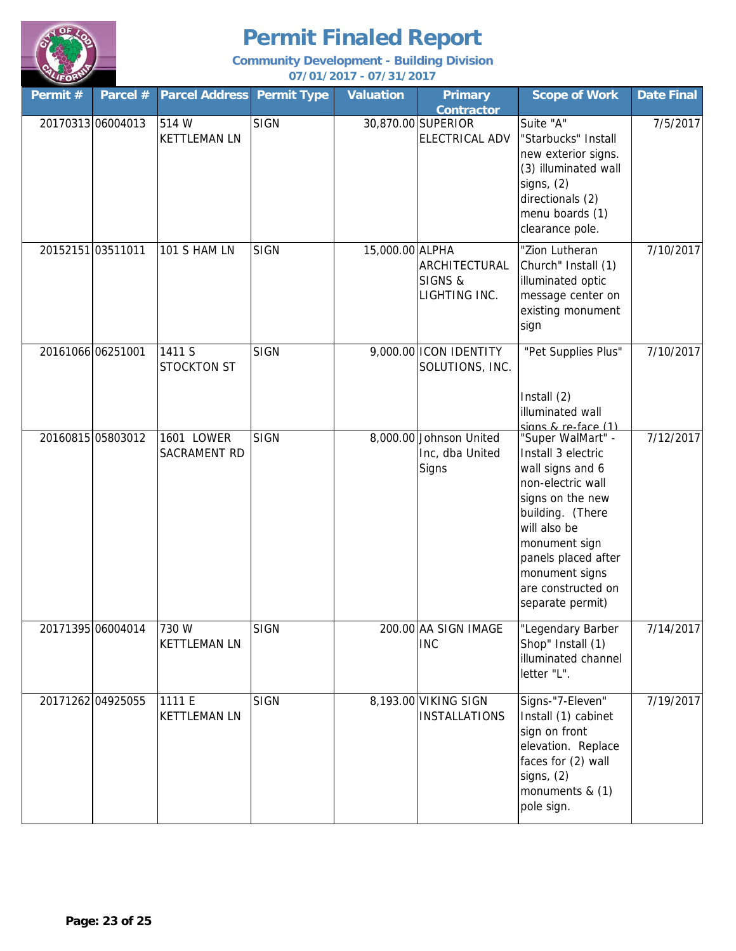

| Permit #          | Parcel #          | <b>Parcel Address</b>         | <b>Permit Type</b> | <b>Valuation</b> | <b>Primary</b><br><b>Contractor</b>                 | <b>Scope of Work</b>                                                                                                                                                                                                                         | <b>Date Final</b> |
|-------------------|-------------------|-------------------------------|--------------------|------------------|-----------------------------------------------------|----------------------------------------------------------------------------------------------------------------------------------------------------------------------------------------------------------------------------------------------|-------------------|
| 20170313 06004013 |                   | 514 W<br><b>KETTLEMAN LN</b>  | <b>SIGN</b>        |                  | 30,870.00 SUPERIOR<br>ELECTRICAL ADV                | Suite "A"<br>"Starbucks" Install<br>new exterior signs.<br>(3) illuminated wall<br>signs, $(2)$<br>directionals (2)<br>menu boards (1)<br>clearance pole.                                                                                    | 7/5/2017          |
| 20152151 03511011 |                   | 101 S HAM LN                  | <b>SIGN</b>        | 15,000.00 ALPHA  | ARCHITECTURAL<br>SIGNS &<br>LIGHTING INC.           | "Zion Lutheran<br>Church" Install (1)<br>illuminated optic<br>message center on<br>existing monument<br>sign                                                                                                                                 | 7/10/2017         |
| 20161066 06251001 |                   | 1411 S<br><b>STOCKTON ST</b>  | <b>SIGN</b>        |                  | 9,000.00 ICON IDENTITY<br>SOLUTIONS, INC.           | "Pet Supplies Plus"<br>Install (2)<br>illuminated wall<br>signs & re-face (1)                                                                                                                                                                | 7/10/2017         |
| 20160815 05803012 |                   | 1601 LOWER<br>SACRAMENT RD    | <b>SIGN</b>        |                  | 8,000.00 Johnson United<br>Inc, dba United<br>Signs | "Super WalMart" -<br>Install 3 electric<br>wall signs and 6<br>non-electric wall<br>signs on the new<br>building. (There<br>will also be<br>monument sign<br>panels placed after<br>monument signs<br>are constructed on<br>separate permit) | 7/12/2017         |
|                   | 20171395 06004014 | 730W<br><b>KETTLEMAN LN</b>   | <b>SIGN</b>        |                  | 200.00 AA SIGN IMAGE<br><b>INC</b>                  | "Legendary Barber<br>Shop" Install (1)<br>illuminated channel<br>letter "L".                                                                                                                                                                 | 7/14/2017         |
| 20171262 04925055 |                   | 1111 E<br><b>KETTLEMAN LN</b> | <b>SIGN</b>        |                  | 8,193.00 VIKING SIGN<br><b>INSTALLATIONS</b>        | Signs-"7-Eleven"<br>Install (1) cabinet<br>sign on front<br>elevation. Replace<br>faces for (2) wall<br>signs, $(2)$<br>monuments & (1)<br>pole sign.                                                                                        | 7/19/2017         |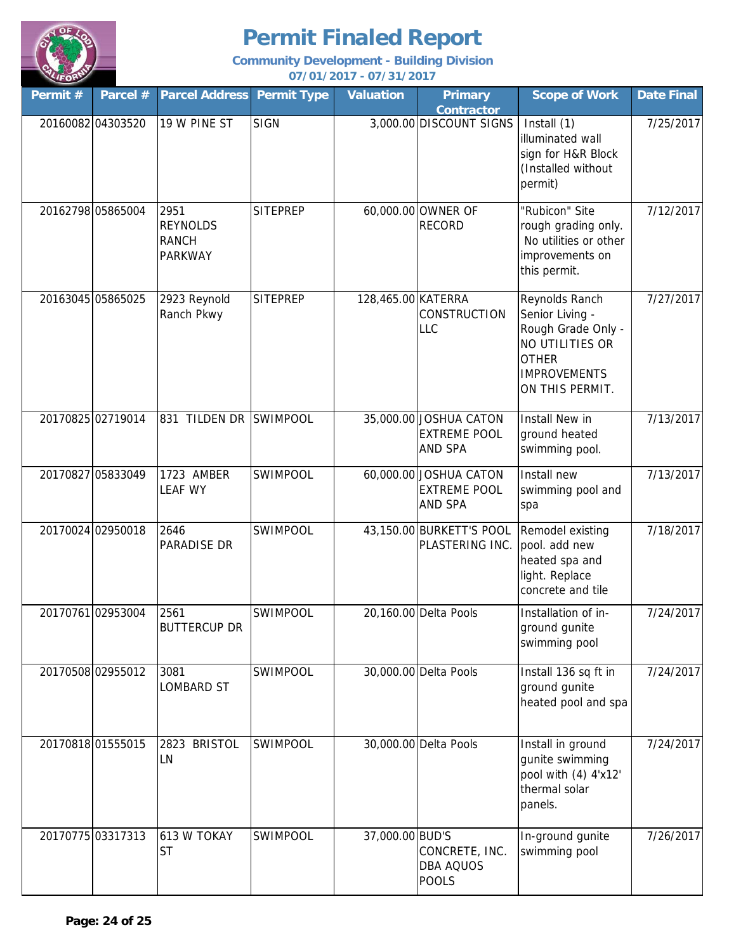

| Permit #          | Parcel #          | <b>Parcel Address</b>                                     | <b>Permit Type</b> | <b>Valuation</b>   | <b>Primary</b><br><b>Contractor</b>                             | <b>Scope of Work</b>                                                                                                                 | <b>Date Final</b> |
|-------------------|-------------------|-----------------------------------------------------------|--------------------|--------------------|-----------------------------------------------------------------|--------------------------------------------------------------------------------------------------------------------------------------|-------------------|
|                   | 20160082 04303520 | 19 W PINE ST                                              | <b>SIGN</b>        |                    | 3,000.00 DISCOUNT SIGNS                                         | Install (1)<br>illuminated wall<br>sign for H&R Block<br>(Installed without<br>permit)                                               | 7/25/2017         |
| 20162798 05865004 |                   | 2951<br><b>REYNOLDS</b><br><b>RANCH</b><br><b>PARKWAY</b> | <b>SITEPREP</b>    |                    | 60,000.00 OWNER OF<br><b>RECORD</b>                             | "Rubicon" Site<br>rough grading only.<br>No utilities or other<br>improvements on<br>this permit.                                    | 7/12/2017         |
| 20163045 05865025 |                   | 2923 Reynold<br>Ranch Pkwy                                | <b>SITEPREP</b>    | 128,465.00 KATERRA | <b>CONSTRUCTION</b><br>LLC                                      | Reynolds Ranch<br>Senior Living -<br>Rough Grade Only -<br>NO UTILITIES OR<br><b>OTHER</b><br><b>IMPROVEMENTS</b><br>ON THIS PERMIT. | 7/27/2017         |
| 20170825 02719014 |                   | 831 TILDEN DR                                             | <b>SWIMPOOL</b>    |                    | 35,000.00 JOSHUA CATON<br><b>EXTREME POOL</b><br>AND SPA        | Install New in<br>ground heated<br>swimming pool.                                                                                    | 7/13/2017         |
| 20170827 05833049 |                   | 1723 AMBER<br><b>LEAF WY</b>                              | SWIMPOOL           |                    | 60,000.00 JOSHUA CATON<br><b>EXTREME POOL</b><br><b>AND SPA</b> | Install new<br>swimming pool and<br>spa                                                                                              | 7/13/2017         |
|                   | 20170024 02950018 | 2646<br>PARADISE DR                                       | SWIMPOOL           |                    | 43,150.00 BURKETT'S POOL<br>PLASTERING INC.                     | Remodel existing<br>pool. add new<br>heated spa and<br>light. Replace<br>concrete and tile                                           | 7/18/2017         |
| 20170761 02953004 |                   | 2561<br><b>BUTTERCUP DR</b>                               | SWIMPOOL           |                    | 20,160.00 Delta Pools                                           | Installation of in-<br>ground gunite<br>swimming pool                                                                                | 7/24/2017         |
|                   | 20170508 02955012 | 3081<br>LOMBARD ST                                        | SWIMPOOL           |                    | 30,000.00 Delta Pools                                           | Install 136 sq ft in<br>ground gunite<br>heated pool and spa                                                                         | 7/24/2017         |
| 20170818 01555015 |                   | <b>BRISTOL</b><br>2823<br>LN                              | <b>SWIMPOOL</b>    |                    | 30,000.00 Delta Pools                                           | Install in ground<br>gunite swimming<br>pool with (4) 4'x12'<br>thermal solar<br>panels.                                             | 7/24/2017         |
| 20170775 03317313 |                   | 613 W TOKAY<br><b>ST</b>                                  | <b>SWIMPOOL</b>    | 37,000.00 BUD'S    | CONCRETE, INC.<br>DBA AQUOS<br><b>POOLS</b>                     | In-ground gunite<br>swimming pool                                                                                                    | 7/26/2017         |